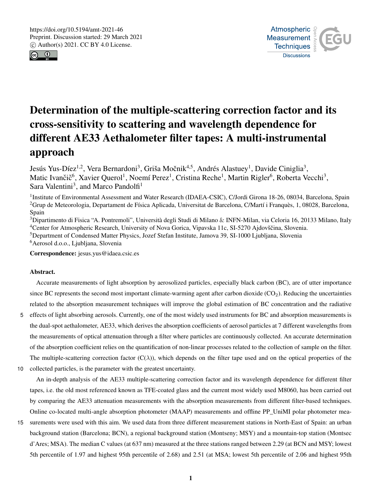



# Determination of the multiple-scattering correction factor and its cross-sensitivity to scattering and wavelength dependence for different AE33 Aethalometer filter tapes: A multi-instrumental approach

Jesús Yus-Díez<sup>1,2</sup>, Vera Bernardoni<sup>3</sup>, Griša Močnik<sup>4,5</sup>, Andrés Alastuey<sup>1</sup>, Davide Ciniglia<sup>3</sup>, Matic Ivančič<sup>6</sup>, Xavier Querol<sup>1</sup>, Noemí Perez<sup>1</sup>, Cristina Reche<sup>1</sup>, Martin Rigler<sup>6</sup>, Roberta Vecchi<sup>3</sup>, Sara Valentini<sup>3</sup>, and Marco Pandolfi<sup>1</sup>

<sup>1</sup>Institute of Environmental Assessment and Water Research (IDAEA-CSIC), C/Jordi Girona 18-26, 08034, Barcelona, Spain <sup>2</sup>Grup de Meteorologia, Departament de Física Aplicada, Universitat de Barcelona, C/Martí i Franquès, 1, 08028, Barcelona, Spain

<sup>3</sup>Dipartimento di Fisica "A. Pontremoli", Università degli Studi di Milano & INFN-Milan, via Celoria 16, 20133 Milano, Italy <sup>4</sup>Center for Atmospheric Research, University of Nova Gorica, Vipavska 11c, SI-5270 Ajdovščina, Slovenia.

<sup>5</sup>Department of Condensed Matter Physics, Jozef Stefan Institute, Jamova 39, SI-1000 Ljubljana, Slovenia <sup>6</sup>Aerosol d.o.o., Ljubljana, Slovenia

Correspondence: jesus.yus@idaea.csic.es

# Abstract.

Accurate measurements of light absorption by aerosolized particles, especially black carbon (BC), are of utter importance since BC represents the second most important climate-warming agent after carbon dioxide  $(CO<sub>2</sub>)$ . Reducing the uncertainties related to the absorption measurement techniques will improve the global estimation of BC concentration and the radiative

- 5 effects of light absorbing aerosols. Currently, one of the most widely used instruments for BC and absorption measurements is the dual-spot aethalometer, AE33, which derives the absorption coefficients of aerosol particles at 7 different wavelengths from the measurements of optical attenuation through a filter where particles are continuously collected. An accurate determination of the absorption coefficient relies on the quantification of non-linear processes related to the collection of sample on the filter. The multiple-scattering correction factor  $(C(\lambda))$ , which depends on the filter tape used and on the optical properties of the
- 10 collected particles, is the parameter with the greatest uncertainty.

An in-depth analysis of the AE33 multiple-scattering correction factor and its wavelength dependence for different filter tapes, i.e. the old most referenced known as TFE-coated glass and the current most widely used M8060, has been carried out by comparing the AE33 attenuation measurements with the absorption measurements from different filter-based techniques. Online co-located multi-angle absorption photometer (MAAP) measurements and offline PP\_UniMI polar photometer mea-

15 surements were used with this aim. We used data from three different measurement stations in North-East of Spain: an urban background station (Barcelona; BCN), a regional background station (Montseny; MSY) and a mountain-top station (Montsec d'Ares; MSA). The median C values (at 637 nm) measured at the three stations ranged between 2.29 (at BCN and MSY; lowest 5th percentile of 1.97 and highest 95th percentile of 2.68) and 2.51 (at MSA; lowest 5th percentile of 2.06 and highest 95th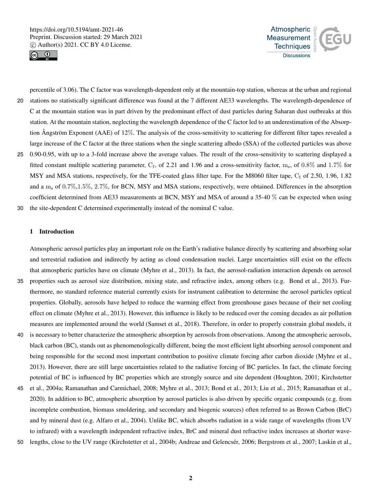



percentile of 3.06). The C factor was wavelength-dependent only at the mountain-top station, whereas at the urban and regional 20 stations no statistically significant difference was found at the 7 different AE33 wavelengths. The wavelength-dependence of C at the mountain station was in part driven by the predominant effect of dust particles during Saharan dust outbreaks at this station. At the mountain station, neglecting the wavelength dependence of the C factor led to an underestimation of the Absorption Ångström Exponent (AAE) of 12%. The analysis of the cross-sensitivity to scattering for different filter tapes revealed a large increase of the C factor at the three stations when the single scattering albedo (SSA) of the collected particles was above 25 0.90-0.95, with up to a 3-fold increase above the average values. The result of the cross-sensitivity to scattering displayed a fitted constant multiple scattering parameter,  $C_f$ , of 2.21 and 1.96 and a cross-sensitivity factor,  $m_s$ , of 0.8% and 1.7% for MSY and MSA stations, respectively, for the TFE-coated glass filter tape. For the M8060 filter tape,  $C_f$  of 2.50, 1.96, 1.82 and a  $m_s$  of 0.7%,1.5%, 2.7%, for BCN, MSY and MSA stations, respectively, were obtained. Differences in the absorption

coefficient determined from AE33 measurements at BCN, MSY and MSA of around a 35-40 % can be expected when using 30 the site-dependent C determined experimentally instead of the nominal C value.

#### 1 Introduction

Atmospheric aerosol particles play an important role on the Earth's radiative balance directly by scattering and absorbing solar and terrestrial radiation and indirectly by acting as cloud condensation nuclei. Large uncertainties still exist on the effects that atmospheric particles have on climate (Myhre et al., 2013). In fact, the aerosol-radiation interaction depends on aerosol

- 35 properties such as aerosol size distribution, mixing state, and refractive index, among others (e.g. Bond et al., 2013). Furthermore, no standard reference material currently exists for instrument calibration to determine the aerosol particles optical properties. Globally, aerosols have helped to reduce the warming effect from greenhouse gases because of their net cooling effect on climate (Myhre et al., 2013). However, this influence is likely to be reduced over the coming decades as air pollution measures are implemented around the world (Samset et al., 2018). Therefore, in order to properly constrain global models, it
- 40 is necessary to better characterize the atmospheric absorption by aerosols from observations. Among the atmospheric aerosols, black carbon (BC), stands out as phenomenologically different, being the most efficient light absorbing aerosol component and being responsible for the second most important contribution to positive climate forcing after carbon dioxide (Myhre et al., 2013). However, there are still large uncertainties related to the radiative forcing of BC particles. In fact, the climate forcing potential of BC is influenced by BC properties which are strongly source and site dependent (Houghton, 2001; Kirchstetter
- 45 et al., 2004a; Ramanathan and Carmichael, 2008; Myhre et al., 2013; Bond et al., 2013; Liu et al., 2015; Ramanathan et al., 2020). In addition to BC, atmospheric absorption by aerosol particles is also driven by specific organic compounds (e.g. from incomplete combustion, biomass smoldering, and secondary and biogenic sources) often referred to as Brown Carbon (BrC) and by mineral dust (e.g. Alfaro et al., 2004). Unlike BC, which absorbs radiation in a wide range of wavelengths (from UV to infrared) with a wavelength independent refractive index, BrC and mineral dust refractive index increases at shorter wave-

50 lengths, close to the UV range (Kirchstetter et al., 2004b; Andreae and Gelencsér, 2006; Bergstrom et al., 2007; Laskin et al.,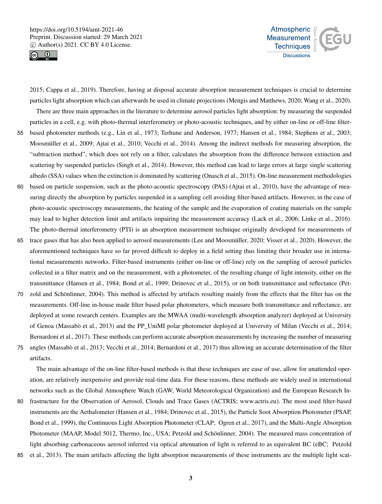



2015; Cappa et al., 2019). Therefore, having at disposal accurate absorption measurement techniques is crucial to determine particles light absorption which can afterwards be used in climate projections (Mengis and Matthews, 2020; Wang et al., 2020). There are three main approaches in the literature to determine aerosol particles light absorption: by measuring the suspended

particles in a cell, e.g. with photo-thermal interferometry or photo-acoustic techniques, and by either on-line or off-line filter-

- 55 based photometer methods (e.g., Lin et al., 1973; Terhune and Anderson, 1977; Hansen et al., 1984; Stephens et al., 2003; Moosmüller et al., 2009; Ajtai et al., 2010; Vecchi et al., 2014). Among the indirect methods for measuring absorption, the "subtraction method", which does not rely on a filter, calculates the absorption from the difference between extinction and scattering by suspended particles (Singh et al., 2014). However, this method can lead to large errors at large single scattering albedo (SSA) values when the extinction is dominated by scattering (Onasch et al., 2015). On-line measurement methodologies
- 60 based on particle suspension, such as the photo-acoustic spectroscopy (PAS) (Ajtai et al., 2010), have the advantage of measuring directly the absorption by particles suspended in a sampling cell avoiding filter-based artifacts. However, in the case of photo-acoustic spectroscopy measurements, the heating of the sample and the evaporation of coating materials on the sample may lead to higher detection limit and artifacts impairing the measurement accuracy (Lack et al., 2006; Linke et al., 2016). The photo-thermal interferometry (PTI) is an absorption measurement technique originally developed for measurements of
- 65 trace gases that has also been applied to aerosol measurements (Lee and Moosmüller, 2020; Visser et al., 2020). However, the aforementioned techniques have so far proved difficult to deploy in a field setting thus limiting their broader use in international measurements networks. Filter-based instruments (either on-line or off-line) rely on the sampling of aerosol particles collected in a filter matrix and on the measurement, with a photometer, of the resulting change of light intensity, either on the transmittance (Hansen et al., 1984; Bond et al., 1999; Drinovec et al., 2015), or on both transmittance and reflectance (Pet-
- 70 zold and Schönlinner, 2004). This method is affected by artifacts resulting mainly from the effects that the filter has on the measurements. Off-line in-house made filter based polar photometers, which measure both transmittance and reflectance, are deployed at some research centers. Examples are the MWAA (multi-wavelength absorption analyzer) deployed at University of Genoa (Massabò et al., 2013) and the PP\_UniMI polar photometer deployed at University of Milan (Vecchi et al., 2014; Bernardoni et al., 2017). These methods can perform accurate absorption measurements by increasing the number of measuring
- 75 angles (Massabò et al., 2013; Vecchi et al., 2014; Bernardoni et al., 2017) thus allowing an accurate determination of the filter artifacts.

The main advantage of the on-line filter-based methods is that these techniques are ease of use, allow for unattended operation, are relatively inexpensive and provide real-time data. For these reasons, these methods are widely used in international networks such as the Global Atmosphere Watch (GAW, World Meteorological Organization) and the European Research In-

- 80 frastructure for the Observation of Aerosol, Clouds and Trace Gases (ACTRIS; www.actris.eu). The most used filter-based instruments are the Aethalometer (Hansen et al., 1984; Drinovec et al., 2015), the Particle Soot Absorption Photometer (PSAP, Bond et al., 1999), the Continuous Light Absorption Photometer (CLAP; Ogren et al., 2017), and the Multi-Angle Absorption Photometer (MAAP, Model 5012, Thermo, Inc., USA; Petzold and Schönlinner, 2004). The measured mass concentration of light absorbing carbonaceous aerosol inferred via optical attenuation of light is referred to as equivalent BC (eBC; Petzold
- 85 et al., 2013). The main artifacts affecting the light absorption measurements of these instruments are the multiple light scat-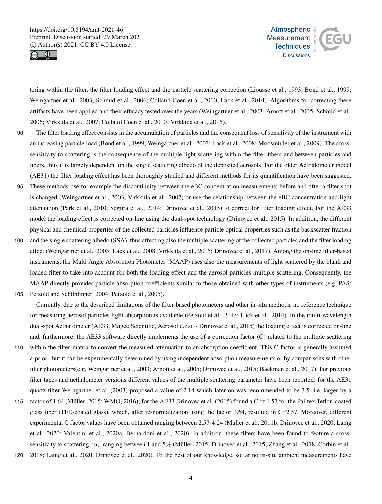



tering within the filter, the filter loading effect and the particle scattering correction (Liousse et al., 1993; Bond et al., 1999; Weingartner et al., 2003; Schmid et al., 2006; Collaud Coen et al., 2010; Lack et al., 2014). Algorithms for correcting these artifacts have been applied and their efficacy tested over the years (Weingartner et al., 2003; Arnott et al., 2005; Schmid et al., 2006; Virkkula et al., 2007; Collaud Coen et al., 2010; Virkkula et al., 2015).

- 90 The filter loading effect consists in the accumulation of particles and the consequent loss of sensitivity of the instrument with an increasing particle load (Bond et al., 1999; Weingartner et al., 2003; Lack et al., 2008; Moosmüller et al., 2009). The crosssensitivity to scattering is the consequence of the multiple light scattering within the filter fibers and between particles and fibers, thus it is largely dependent on the single scattering albedo of the deposited aerosols. For the older Aethalometer model (AE31) the filter loading effect has been thoroughly studied and different methods for its quantification have been suggested.
- 95 These methods use for example the discontinuity between the eBC concentration measurements before and after a filter spot is changed (Weingartner et al., 2003; Virkkula et al., 2007) or use the relationship between the eBC concentration and light attenuation (Park et al., 2010; Segura et al., 2014; Drinovec et al., 2015) to correct for filter loading effect. For the AE33 model the loading effect is corrected on-line using the dual-spot technology (Drinovec et al., 2015). In addition, the different physical and chemical properties of the collected particles influence particle optical properties such as the backscatter fraction
- 100 and the single scattering albedo (SSA), thus affecting also the multiple scattering of the collected particles and the filter loading effect (Weingartner et al., 2003; Lack et al., 2008; Virkkula et al., 2015; Drinovec et al., 2017). Among the on-line filter-based instruments, the Multi Angle Absorption Photometer (MAAP) uses also the measurements of light scattered by the blank and loaded filter to take into account for both the loading effect and the aerosol particles multiple scattering. Consequently, the MAAP directly provides particle absorption coefficients similar to those obtained with other types of instruments (e.g. PAS;
- 105 Petzold and Schönlinner, 2004; Petzold et al., 2005).

Currently, due to the described limitations of the filter-based photometers and other in-situ methods, no reference technique for measuring aerosol particles light absorption is available (Petzold et al., 2013; Lack et al., 2014). In the multi-wavelength dual-spot Aethalometer (AE33, Magee Scientific, Aerosol d.o.o. - Drinovec et al., 2015) the loading effect is corrected on-line and, furthermore, the AE33 software directly implements the use of a correction factor (C) related to the multiple scattering

- 110 within the filter matrix to convert the measured attenuation to an absorption coefficient. This C factor is generally assumed a-priori, but it can be experimentally determined by using independent absorption measurements or by comparisons with other filter photometers(e.g. Weingartner et al., 2003; Arnott et al., 2005; Drinovec et al., 2015; Backman et al., 2017). For previous filter tapes and aethalometer versions different values of the multiple scattering parameter have been reported: for the AE31 quartz filter Weingartner et al. (2003) proposed a value of 2.14 which later on was recommended to be 3.5, i.e. larger by a
- 115 factor of 1.64 (Müller, 2015; WMO, 2016); for the AE33 Drinovec et al. (2015) found a C of 1.57 for the Pallfex Teflon-coated glass fiber (TFE-coated glass), which, after re-normalization using the factor 1.64, resulted in C=2.57. Moreover, different experimental C factor values have been obtained ranging between 2.57-4.24 (Müller et al., 2011b; Drinovec et al., 2020; Laing et al., 2020; Valentini et al., 2020a; Bernardoni et al., 2020). In addition, these filters have been found to feature a crosssensitivity to scattering, m<sub>s</sub>, ranging between 1 and 5% (Müller, 2015; Drinovec et al., 2015; Zhang et al., 2018; Corbin et al.,
- 120 2018; Laing et al., 2020; Drinovec et al., 2020). To the best of our knowledge, so far no in-situ ambient measurements have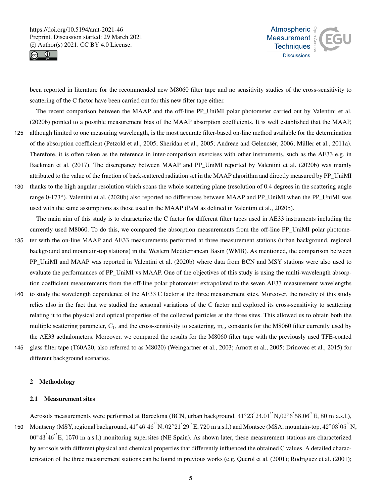



been reported in literature for the recommended new M8060 filter tape and no sensitivity studies of the cross-sensitivity to scattering of the C factor have been carried out for this new filter tape either.

The recent comparison between the MAAP and the off-line PP\_UniMI polar photometer carried out by Valentini et al. (2020b) pointed to a possible measurement bias of the MAAP absorption coefficients. It is well established that the MAAP,

- 125 although limited to one measuring wavelength, is the most accurate filter-based on-line method available for the determination of the absorption coefficient (Petzold et al., 2005; Sheridan et al., 2005; Andreae and Gelencsér, 2006; Müller et al., 2011a). Therefore, it is often taken as the reference in inter-comparison exercises with other instruments, such as the AE33 e.g. in Backman et al. (2017). The discrepancy between MAAP and PP\_UniMI reported by Valentini et al. (2020b) was mainly attributed to the value of the fraction of backscattered radiation set in the MAAP algorithm and directly measured by PP\_UniMI 130 thanks to the high angular resolution which scans the whole scattering plane (resolution of 0.4 degrees in the scattering angle
- range 0-173◦ ). Valentini et al. (2020b) also reported no differences between MAAP and PP\_UniMI when the PP\_UniMI was used with the same assumptions as those used in the MAAP (PaM as defined in Valentini et al., 2020b).

The main aim of this study is to characterize the C factor for different filter tapes used in AE33 instruments including the currently used M8060. To do this, we compared the absorption measurements from the off-line PP\_UniMI polar photome-

- 135 ter with the on-line MAAP and AE33 measurements performed at three measurement stations (urban background, regional background and mountain-top stations) in the Western Mediterranean Basin (WMB). As mentioned, the comparison between PP\_UniMI and MAAP was reported in Valentini et al. (2020b) where data from BCN and MSY stations were also used to evaluate the performances of PP\_UniMI vs MAAP. One of the objectives of this study is using the multi-wavelength absorption coefficient measurements from the off-line polar photometer extrapolated to the seven AE33 measurement wavelengths
- 140 to study the wavelength dependence of the AE33 C factor at the three measurement sites. Moreover, the novelty of this study relies also in the fact that we studied the seasonal variations of the C factor and explored its cross-sensitivity to scattering relating it to the physical and optical properties of the collected particles at the three sites. This allowed us to obtain both the multiple scattering parameter,  $C_f$ , and the cross-sensitivity to scattering,  $m_s$ , constants for the M8060 filter currently used by the AE33 aethalometers. Moreover, we compared the results for the M8060 filter tape with the previously used TFE-coated
- 145 glass filter tape (T60A20, also referred to as M8020) (Weingartner et al., 2003; Arnott et al., 2005; Drinovec et al., 2015) for different background scenarios.

# 2 Methodology

#### 2.1 Measurement sites

Aerosols measurements were performed at Barcelona (BCN, urban background,  $41°23'24.01''N,02°6'58.06''E, 80 m a.s.l.),$ 150 Montseny (MSY, regional background,  $41°46'46''N$ ,  $02°21'29''E$ , 720 m a.s.l.) and Montsec (MSA, mountain-top,  $42°03'05''N$ ,  $00^{\circ}43'46''$  E, 1570 m a.s.l.) monitoring supersites (NE Spain). As shown later, these measurement stations are characterized by aerosols with different physical and chemical properties that differently influenced the obtained C values. A detailed characterization of the three measurement stations can be found in previous works (e.g. Querol et al. (2001); Rodrıguez et al. (2001);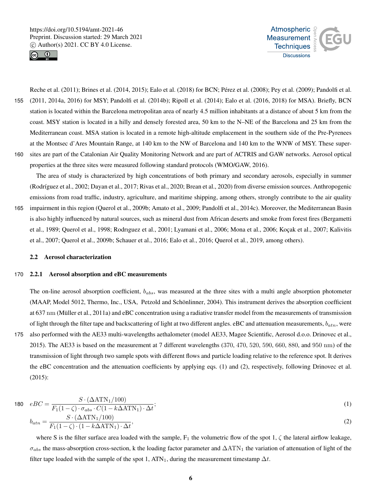



Reche et al. (2011); Brines et al. (2014, 2015); Ealo et al. (2018) for BCN; Pérez et al. (2008); Pey et al. (2009); Pandolfi et al. 155 (2011, 2014a, 2016) for MSY; Pandolfi et al. (2014b); Ripoll et al. (2014); Ealo et al. (2016, 2018) for MSA). Briefly, BCN station is located within the Barcelona metropolitan area of nearly 4.5 million inhabitants at a distance of about 5 km from the coast. MSY station is located in a hilly and densely forested area, 50 km to the N–NE of the Barcelona and 25 km from the Mediterranean coast. MSA station is located in a remote high-altitude emplacement in the southern side of the Pre-Pyrenees at the Montsec d'Ares Mountain Range, at 140 km to the NW of Barcelona and 140 km to the WNW of MSY. These super-160 sites are part of the Catalonian Air Quality Monitoring Network and are part of ACTRIS and GAW networks. Aerosol optical properties at the three sites were measured following standard protocols (WMO/GAW, 2016).

The area of study is characterized by high concentrations of both primary and secondary aerosols, especially in summer (Rodríguez et al., 2002; Dayan et al., 2017; Rivas et al., 2020; Brean et al., 2020) from diverse emission sources. Anthropogenic emissions from road traffic, industry, agriculture, and maritime shipping, among others, strongly contribute to the air quality 165 impairment in this region (Querol et al., 2009b; Amato et al., 2009; Pandolfi et al., 2014c). Moreover, the Mediterranean Basin is also highly influenced by natural sources, such as mineral dust from African deserts and smoke from forest fires (Bergametti et al., 1989; Querol et al., 1998; Rodrıguez et al., 2001; Lyamani et al., 2006; Mona et al., 2006; Koçak et al., 2007; Kalivitis

et al., 2007; Querol et al., 2009b; Schauer et al., 2016; Ealo et al., 2016; Querol et al., 2019, among others).

#### 2.2 Aerosol characterization

# 170 2.2.1 Aerosol absorption and eBC measurements

The on-line aerosol absorption coefficient,  $b_{abs}$ , was measured at the three sites with a multi angle absorption photometer (MAAP, Model 5012, Thermo, Inc., USA, Petzold and Schönlinner, 2004). This instrument derives the absorption coefficient at 637 nm (Müller et al., 2011a) and eBC concentration using a radiative transfer model from the measurements of transmission of light through the filter tape and backscattering of light at two different angles. eBC and attenuation measurements,  $b_{atn}$ , were

175 also performed with the AE33 multi-wavelengths aethalometer (model AE33, Magee Scientific, Aerosol d.o.o. Drinovec et al., 2015). The AE33 is based on the measurement at 7 different wavelengths (370, 470, 520, 590, 660, 880, and 950 nm) of the transmission of light through two sample spots with different flows and particle loading relative to the reference spot. It derives the eBC concentration and the attenuation coefficients by applying eqs. (1) and (2), respectively, following Drinovec et al. (2015):

180 
$$
eBC = \frac{S \cdot (\Delta \text{ATN}_1/100)}{F_1(1-\zeta) \cdot \sigma_{abs} \cdot C(1 - k\Delta \text{ATN}_1) \cdot \Delta t};
$$
  
\n
$$
b_{atn} = \frac{S \cdot (\Delta \text{ATN}_1/100)}{F_1(1-\zeta) \cdot (1 - k\Delta \text{ATN}_1) \cdot \Delta t},
$$
\n(2)

where S is the filter surface area loaded with the sample,  $F_1$  the volumetric flow of the spot 1,  $\zeta$  the lateral airflow leakage,  $\sigma_{abs}$  the mass-absorption cross-section, k the loading factor parameter and  $\Delta$ ATN<sub>1</sub> the variation of attenuation of light of the filter tape loaded with the sample of the spot 1, ATN<sub>1</sub>, during the measurement timestamp  $\Delta t$ .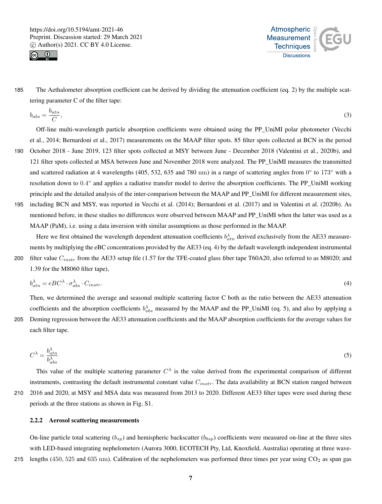



185 The Aethalometer absorption coefficient can be derived by dividing the attenuation coefficient (eq. 2) by the multiple scattering parameter C of the filter tape:

$$
b_{abs} = \frac{b_{atn}}{C},\tag{3}
$$

Off-line multi-wavelength particle absorption coefficients were obtained using the PP\_UniMI polar photometer (Vecchi et al., 2014; Bernardoni et al., 2017) measurements on the MAAP filter spots. 85 filter spots collected at BCN in the period

- 190 October 2018 June 2019, 123 filter spots collected at MSY between June December 2018 (Valentini et al., 2020b), and 121 filter spots collected at MSA between June and November 2018 were analyzed. The PP\_UniMI measures the transmitted and scattered radiation at 4 wavelengths (405, 532, 635 and 780 nm) in a range of scattering angles from  $0^{\circ}$  to 173 $^{\circ}$  with a resolution down to 0.4° and applies a radiative transfer model to derive the absorption coefficients. The PP\_UniMI working principle and the detailed analysis of the inter-comparison between the MAAP and PP\_UniMI for different measurement sites,
- 195 including BCN and MSY, was reported in Vecchi et al. (2014); Bernardoni et al. (2017) and in Valentini et al. (2020b). As mentioned before, in these studies no differences were observed between MAAP and PP\_UniMI when the latter was used as a MAAP (PaM), i.e. using a data inversion with similar assumptions as those performed in the MAAP.

Here we first obtained the wavelength dependent attenuation coefficients  $b_{atn}^{\lambda}$  derived exclusively from the AE33 measurements by multiplying the eBC concentrations provided by the AE33 (eq. 4) by the default wavelength independent instrumental 200 filter value  $C_{instr}$  from the AE33 setup file (1.57 for the TFE-coated glass fiber tape T60A20, also referred to as M8020; and

1.39 for the M8060 filter tape),

$$
b_{atn}^{\lambda} = eBC^{\lambda} \cdot \sigma_{abs}^{\lambda} \cdot C_{instr}.
$$
\n<sup>(4)</sup>

Then, we determined the average and seasonal multiple scattering factor C both as the ratio between the AE33 attenuation coefficients and the absorption coefficients  $b_{abs}^{\lambda}$  measured by the MAAP and the PP\_UniMI (eq. 5), and also by applying a 205 Deming regression between the AE33 attenuation coefficients and the MAAP absorption coefficients for the average values for each filter tape.

$$
C^{\lambda} = \frac{b_{atn}^{\lambda}}{b_{abs}^{\lambda}}
$$
 (5)

This value of the multiple scattering parameter  $C^{\lambda}$  is the value derived from the experimental comparison of different instruments, contrasting the default instrumental constant value  $C_{instr}$ . The data availability at BCN station ranged between 210 2016 and 2020, at MSY and MSA data was measured from 2013 to 2020. Different AE33 filter tapes were used during these

# 2.2.2 Aerosol scattering measurements

periods at the three stations as shown in Fig. S1.

On-line particle total scattering  $(b_{sp})$  and hemispheric backscatter  $(b_{bsp})$  coefficients were measured on-line at the three sites with LED-based integrating nephelometers (Aurora 3000, ECOTECH Pty, Ltd, Knoxfield, Australia) operating at three wave-215 lengths (450, 525 and 635 nm). Calibration of the nephelometers was performed three times per year using  $CO<sub>2</sub>$  as span gas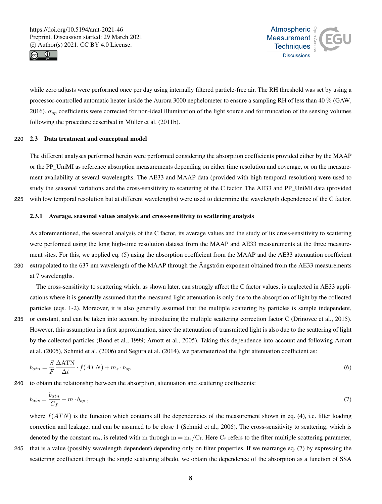



while zero adjusts were performed once per day using internally filtered particle-free air. The RH threshold was set by using a processor-controlled automatic heater inside the Aurora 3000 nephelometer to ensure a sampling RH of less than 40 % (GAW, 2016).  $\sigma_{sp}$  coefficients were corrected for non-ideal illumination of the light source and for truncation of the sensing volumes following the procedure described in Müller et al. (2011b).

# 220 2.3 Data treatment and conceptual model

The different analyses performed herein were performed considering the absorption coefficients provided either by the MAAP or the PP\_UniMI as reference absorption measurements depending on either time resolution and coverage, or on the measurement availability at several wavelengths. The AE33 and MAAP data (provided with high temporal resolution) were used to study the seasonal variations and the cross-sensitivity to scattering of the C factor. The AE33 and PP\_UniMI data (provided 225 with low temporal resolution but at different wavelengths) were used to determine the wavelength dependence of the C factor.

#### 2.3.1 Average, seasonal values analysis and cross-sensitivity to scattering analysis

As aforementioned, the seasonal analysis of the C factor, its average values and the study of its cross-sensitivity to scattering were performed using the long high-time resolution dataset from the MAAP and AE33 measurements at the three measurement sites. For this, we applied eq. (5) using the absorption coefficient from the MAAP and the AE33 attenuation coefficient 230 extrapolated to the 637 nm wavelength of the MAAP through the Ångström exponent obtained from the AE33 measurements at 7 wavelengths.

The cross-sensitivity to scattering which, as shown later, can strongly affect the C factor values, is neglected in AE33 applications where it is generally assumed that the measured light attenuation is only due to the absorption of light by the collected particles (eqs. 1-2). Moreover, it is also generally assumed that the multiple scattering by particles is sample independent, 235 or constant, and can be taken into account by introducing the multiple scattering correction factor C (Drinovec et al., 2015). However, this assumption is a first approximation, since the attenuation of transmitted light is also due to the scattering of light by the collected particles (Bond et al., 1999; Arnott et al., 2005). Taking this dependence into account and following Arnott et al. (2005), Schmid et al. (2006) and Segura et al. (2014), we parameterized the light attenuation coefficient as:

$$
b_{atn} = \frac{S}{F} \frac{\Delta \text{ATN}}{\Delta t} \cdot f(ATN) + m_s \cdot b_{sp} \tag{6}
$$

240 to obtain the relationship between the absorption, attenuation and scattering coefficients:

$$
b_{abs} = \frac{b_{atn}}{C_f} - m \cdot b_{sp} \tag{7}
$$

where  $f(ATN)$  is the function which contains all the dependencies of the measurement shown in eq. (4), i.e. filter loading correction and leakage, and can be assumed to be close 1 (Schmid et al., 2006). The cross-sensitivity to scattering, which is denoted by the constant  $m_s$ , is related with m through  $m = m_s/C_f$ . Here  $C_f$  refers to the filter multiple scattering parameter,

245 that is a value (possibly wavelength dependent) depending only on filter properties. If we rearrange eq. (7) by expressing the scattering coefficient through the single scattering albedo, we obtain the dependence of the absorption as a function of SSA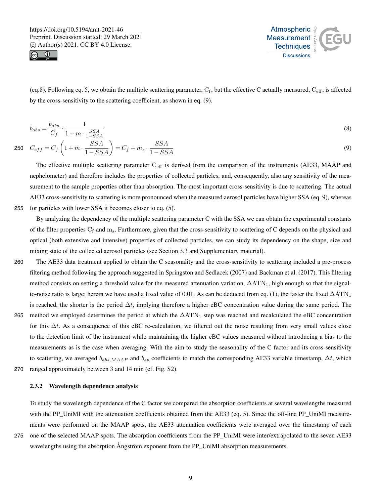



(eq.8). Following eq. 5, we obtain the multiple scattering parameter,  $C_f$ , but the effective C actually measured,  $C_{\text{eff}}$ , is affected by the cross-sensitivity to the scattering coefficient, as shown in eq. (9).

$$
b_{abs} = \frac{b_{atn}}{C_f} \cdot \frac{1}{1 + m \cdot \frac{SSA}{1 - SSA}}\tag{8}
$$

$$
C_{eff} = C_f \left( 1 + m \cdot \frac{SSA}{1 - SSA} \right) = C_f + m_s \cdot \frac{SSA}{1 - SSA} \tag{9}
$$

The effective multiple scattering parameter  $C_{\text{eff}}$  is derived from the comparison of the instruments (AE33, MAAP and nephelometer) and therefore includes the properties of collected particles, and, consequently, also any sensitivity of the measurement to the sample properties other than absorption. The most important cross-sensitivity is due to scattering. The actual AE33 cross-sensitivity to scattering is more pronounced when the measured aerosol particles have higher SSA (eq. 9), whereas 255 for particles with lower SSA it becomes closer to eq. (5).

By analyzing the dependency of the multiple scattering parameter C with the SSA we can obtain the experimental constants of the filter properties  $C_f$  and  $m_s$ . Furthermore, given that the cross-sensitivity to scattering of C depends on the physical and optical (both extensive and intensive) properties of collected particles, we can study its dependency on the shape, size and mixing state of the collected aerosol particles (see Section 3.3 and Supplementary material).

- 260 The AE33 data treatment applied to obtain the C seasonality and the cross-sensitivity to scattering included a pre-process filtering method following the approach suggested in Springston and Sedlacek (2007) and Backman et al. (2017). This filtering method consists on setting a threshold value for the measured attenuation variation,  $\Delta ATN_1$ , high enough so that the signalto-noise ratio is large; herein we have used a fixed value of 0.01. As can be deduced from eq. (1), the faster the fixed  $\Delta \text{ATN}_1$ is reached, the shorter is the period  $\Delta t$ , implying therefore a higher eBC concentration value during the same period. The 265 method we employed determines the period at which the  $\Delta ATN_1$  step was reached and recalculated the eBC concentration for this  $\Delta t$ . As a consequence of this eBC re-calculation, we filtered out the noise resulting from very small values close
- to the detection limit of the instrument while maintaining the higher eBC values measured without introducing a bias to the measurements as is the case when averaging. With the aim to study the seasonality of the C factor and its cross-sensitivity to scattering, we averaged  $b_{ab,s,MAP}$  and  $b_{sp}$  coefficients to match the corresponding AE33 variable timestamp,  $\Delta t$ , which 270 ranged approximately between 3 and 14 min (cf. Fig. S2).

# 2.3.2 Wavelength dependence analysis

To study the wavelength dependence of the C factor we compared the absorption coefficients at several wavelengths measured with the PP\_UniMI with the attenuation coefficients obtained from the AE33 (eq. 5). Since the off-line PP\_UniMI measurements were performed on the MAAP spots, the AE33 attenuation coefficients were averaged over the timestamp of each 275 one of the selected MAAP spots. The absorption coefficients from the PP\_UniMI were inter/extrapolated to the seven AE33 wavelengths using the absorption Ångström exponent from the PP\_UniMI absorption measurements.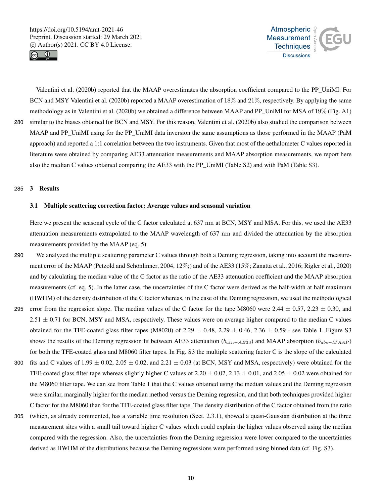



Valentini et al. (2020b) reported that the MAAP overestimates the absorption coefficient compared to the PP\_UniMI. For BCN and MSY Valentini et al. (2020b) reported a MAAP overestimation of 18% and 21%, respectively. By applying the same methodology as in Valentini et al. (2020b) we obtained a difference between MAAP and PP\_UniMI for MSA of 19% (Fig. A1) 280 similar to the biases obtained for BCN and MSY. For this reason, Valentini et al. (2020b) also studied the comparison between MAAP and PP\_UniMI using for the PP\_UniMI data inversion the same assumptions as those performed in the MAAP (PaM approach) and reported a 1:1 correlation between the two instruments. Given that most of the aethalometer C values reported in literature were obtained by comparing AE33 attenuation measurements and MAAP absorption measurements, we report here also the median C values obtained comparing the AE33 with the PP\_UniMI (Table S2) and with PaM (Table S3).

# 285 3 Results

# 3.1 Multiple scattering correction factor: Average values and seasonal variation

Here we present the seasonal cycle of the C factor calculated at 637 nm at BCN, MSY and MSA. For this, we used the AE33 attenuation measurements extrapolated to the MAAP wavelength of 637 nm and divided the attenuation by the absorption measurements provided by the MAAP (eq. 5).

- 290 We analyzed the multiple scattering parameter C values through both a Deming regression, taking into account the measurement error of the MAAP (Petzold and Schönlinner, 2004, 12%;) and of the AE33 (15%; Zanatta et al., 2016; Rigler et al., 2020) and by calculating the median value of the C factor as the ratio of the AE33 attenuation coefficient and the MAAP absorption measurements (cf. eq. 5). In the latter case, the uncertainties of the C factor were derived as the half-width at half maximum (HWHM) of the density distribution of the C factor whereas, in the case of the Deming regression, we used the methodological 295 error from the regression slope. The median values of the C factor for the tape M8060 were  $2.44 \pm 0.57$ ,  $2.23 \pm 0.30$ , and  $2.51 \pm 0.71$  for BCN, MSY and MSA, respectively. These values were on average higher compared to the median C values obtained for the TFE-coated glass filter tapes (M8020) of 2.29  $\pm$  0.48, 2.29  $\pm$  0.46, 2.36  $\pm$  0.59 - see Table 1. Figure S3 shows the results of the Deming regression fit between AE33 attenuation ( $b_{atn-AB33}$ ) and MAAP absorption ( $b_{abs-MAAP}$ ) for both the TFE-coated glass and M8060 filter tapes. In Fig. S3 the multiple scattering factor C is the slope of the calculated
- 300 fits and C values of  $1.99 \pm 0.02$ ,  $2.05 \pm 0.02$ , and  $2.21 \pm 0.03$  (at BCN, MSY and MSA, respectively) were obtained for the TFE-coated glass filter tape whereas slightly higher C values of  $2.20 \pm 0.02$ ,  $2.13 \pm 0.01$ , and  $2.05 \pm 0.02$  were obtained for the M8060 filter tape. We can see from Table 1 that the C values obtained using the median values and the Deming regression were similar, marginally higher for the median method versus the Deming regression, and that both techniques provided higher C factor for the M8060 than for the TFE-coated glass filter tape. The density distribution of the C factor obtained from the ratio
- 305 (which, as already commented, has a variable time resolution (Sect. 2.3.1), showed a quasi-Gaussian distribution at the three measurement sites with a small tail toward higher C values which could explain the higher values observed using the median compared with the regression. Also, the uncertainties from the Deming regression were lower compared to the uncertainties derived as HWHM of the distributions because the Deming regressions were performed using binned data (cf. Fig. S3).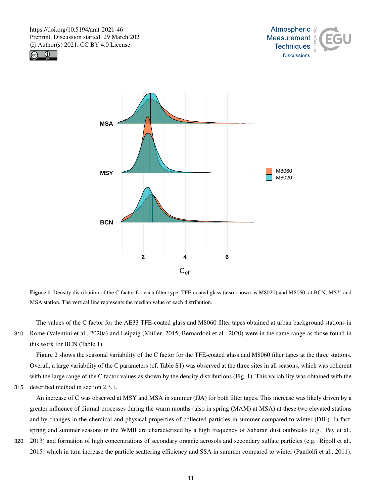





Figure 1. Density distribution of the C factor for each filter type, TFE-coated glass (also known as M8020) and M8060, at BCN, MSY, and MSA station. The vertical line represents the median value of each distribution.

The values of the C factor for the AE33 TFE-coated glass and M8060 filter tapes obtained at urban background stations in 310 Rome (Valentini et al., 2020a) and Leipzig (Müller, 2015; Bernardoni et al., 2020) were in the same range as those found in this work for BCN (Table 1).

Figure 2 shows the seasonal variability of the C factor for the TFE-coated glass and M8060 filter tapes at the three stations. Overall, a large variability of the C parameters (cf. Table S1) was observed at the three sites in all seasons, which was coherent with the large range of the C factor values as shown by the density distributions (Fig. 1). This variability was obtained with the

```
315 described method in section 2.3.1.
```
An increase of C was observed at MSY and MSA in summer (JJA) for both filter tapes. This increase was likely driven by a greater influence of diurnal processes during the warm months (also in spring (MAM) at MSA) at these two elevated stations and by changes in the chemical and physical properties of collected particles in summer compared to winter (DJF). In fact, spring and summer seasons in the WMB are characterized by a high frequency of Saharan dust outbreaks (e.g. Pey et al.,

320 2013) and formation of high concentrations of secondary organic aerosols and secondary sulfate particles (e.g. Ripoll et al., 2015) which in turn increase the particle scattering efficiency and SSA in summer compared to winter (Pandolfi et al., 2011).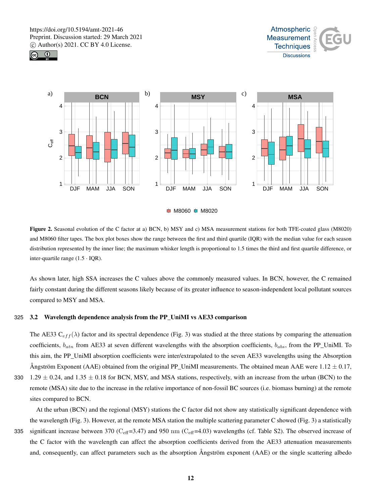







Figure 2. Seasonal evolution of the C factor at a) BCN, b) MSY and c) MSA measurement stations for both TFE-coated glass (M8020) and M8060 filter tapes. The box plot boxes show the range between the first and third quartile (IQR) with the median value for each season distribution represented by the inner line; the maximum whisker length is proportional to 1.5 times the third and first quartile difference, or inter-quartile range  $(1.5 \cdot IQR)$ .

As shown later, high SSA increases the C values above the commonly measured values. In BCN, however, the C remained fairly constant during the different seasons likely because of its greater influence to season-independent local pollutant sources compared to MSY and MSA.

# 325 3.2 Wavelength dependence analysis from the PP\_UniMI vs AE33 comparison

The AE33  $C_{eff}(\lambda)$  factor and its spectral dependence (Fig. 3) was studied at the three stations by comparing the attenuation coefficients,  $b_{atn}$  from AE33 at seven different wavelengths with the absorption coefficients,  $b_{abs}$ , from the PP\_UniMI. To this aim, the PP\_UniMI absorption coefficients were inter/extrapolated to the seven AE33 wavelengths using the Absorption Ångström Exponent (AAE) obtained from the original PP\_UniMI measurements. The obtained mean AAE were 1.12  $\pm$  0.17,

330 1.29  $\pm$  0.24, and 1.35  $\pm$  0.18 for BCN, MSY, and MSA stations, respectively, with an increase from the urban (BCN) to the remote (MSA) site due to the increase in the relative importance of non-fossil BC sources (i.e. biomass burning) at the remote sites compared to BCN.

At the urban (BCN) and the regional (MSY) stations the C factor did not show any statistically significant dependence with the wavelength (Fig. 3). However, at the remote MSA station the multiple scattering parameter C showed (Fig. 3) a statistically 335 significant increase between 370 ( $C_{\text{eff}}$ =3.47) and 950 nm ( $C_{\text{eff}}$ =4.03) wavelengths (cf. Table S2). The observed increase of the C factor with the wavelength can affect the absorption coefficients derived from the AE33 attenuation measurements and, consequently, can affect parameters such as the absorption Ångström exponent (AAE) or the single scattering albedo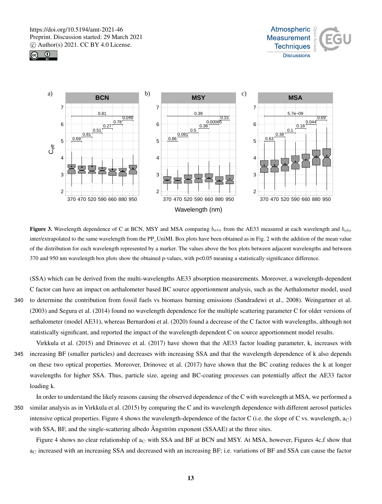





Figure 3. Wavelength dependence of C at BCN, MSY and MSA comparing  $b_{atn}$  from the AE33 measured at each wavelength and  $b_{abs}$ inter/extrapolated to the same wavelength from the PP\_UniMI. Box plots have been obtained as in Fig. 2 with the addition of the mean value of the distribution for each wavelength represented by a marker. The values above the box plots between adjacent wavelengths and between 370 and 950 nm wavelength box plots show the obtained p-values, with p<0.05 meaning a statistically significance difference.

(SSA) which can be derived from the multi-wavelengths AE33 absorption measurements. Moreover, a wavelength-dependent C factor can have an impact on aethalometer based BC source apportionment analysis, such as the Aethalometer model, used 340 to determine the contribution from fossil fuels vs biomass burning emissions (Sandradewi et al., 2008). Weingartner et al. (2003) and Segura et al. (2014) found no wavelength dependence for the multiple scattering parameter C for older versions of aethalometer (model AE31), whereas Bernardoni et al. (2020) found a decrease of the C factor with wavelengths, although not statistically significant, and reported the impact of the wavelength dependent C on source apportionment model results.

Virkkula et al. (2015) and Drinovec et al. (2017) have shown that the AE33 factor loading parameter, k, increases with 345 increasing BF (smaller particles) and decreases with increasing SSA and that the wavelength dependence of k also depends on these two optical properties. Moreover, Drinovec et al. (2017) have shown that the BC coating reduces the k at longer wavelengths for higher SSA. Thus, particle size, ageing and BC-coating processes can potentially affect the AE33 factor loading k.

In order to understand the likely reasons causing the observed dependence of the C with wavelength at MSA, we performed a 350 similar analysis as in Virkkula et al. (2015) by comparing the C and its wavelength dependence with different aerosol particles intensive optical properties. Figure 4 shows the wavelength-dependence of the factor C (i.e. the slope of C vs. wavelength,  $a<sub>C</sub>$ ) with SSA, BF, and the single-scattering albedo Ångström exponent (SSAAE) at the three sites.

Figure 4 shows no clear relationship of  $a<sub>C</sub>$  with SSA and BF at BCN and MSY. At MSA, however, Figures 4c,f show that  $a<sub>C</sub>$  increased with an increasing SSA and decreased with an increasing BF; i.e. variations of BF and SSA can cause the factor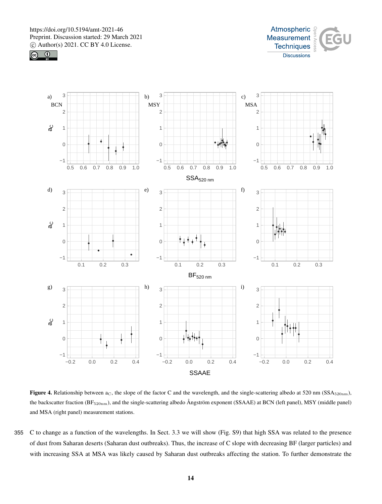





Figure 4. Relationship between  $a<sub>C</sub>$ , the slope of the factor C and the wavelength, and the single-scattering albedo at 520 nm (SSA $_{520nm}$ ), the backscatter fraction (BF<sub>520nm</sub>), and the single-scattering albedo Ångström exponent (SSAAE) at BCN (left panel), MSY (middle panel) and MSA (right panel) measurement stations.

355 C to change as a function of the wavelengths. In Sect. 3.3 we will show (Fig. S9) that high SSA was related to the presence of dust from Saharan deserts (Saharan dust outbreaks). Thus, the increase of C slope with decreasing BF (larger particles) and with increasing SSA at MSA was likely caused by Saharan dust outbreaks affecting the station. To further demonstrate the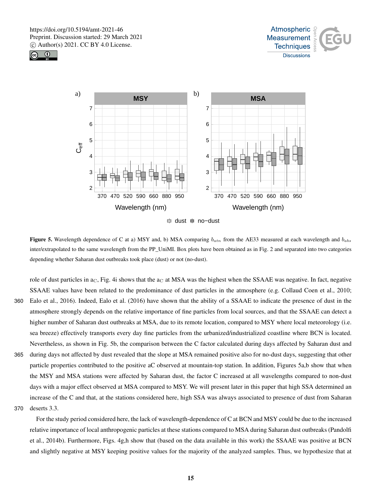





Figure 5. Wavelength dependence of C at a) MSY and, b) MSA comparing  $b_{atn}$  from the AE33 measured at each wavelength and  $b_{abs}$ inter/extrapolated to the same wavelength from the PP\_UniMI. Box plots have been obtained as in Fig. 2 and separated into two categories depending whether Saharan dust outbreaks took place (dust) or not (no-dust).

role of dust particles in  $a<sub>C</sub>$ , Fig. 4i shows that the  $a<sub>C</sub>$  at MSA was the highest when the SSAAE was negative. In fact, negative SSAAE values have been related to the predominance of dust particles in the atmosphere (e.g. Collaud Coen et al., 2010; 360 Ealo et al., 2016). Indeed, Ealo et al. (2016) have shown that the ability of a SSAAE to indicate the presence of dust in the

- atmosphere strongly depends on the relative importance of fine particles from local sources, and that the SSAAE can detect a higher number of Saharan dust outbreaks at MSA, due to its remote location, compared to MSY where local meteorology (i.e. sea breeze) effectively transports every day fine particles from the urbanized/industrialized coastline where BCN is located. Nevertheless, as shown in Fig. 5b, the comparison between the C factor calculated during days affected by Saharan dust and
- 365 during days not affected by dust revealed that the slope at MSA remained positive also for no-dust days, suggesting that other particle properties contributed to the positive aC observed at mountain-top station. In addition, Figures 5a,b show that when the MSY and MSA stations were affected by Saharan dust, the factor C increased at all wavelengths compared to non-dust days with a major effect observed at MSA compared to MSY. We will present later in this paper that high SSA determined an increase of the C and that, at the stations considered here, high SSA was always associated to presence of dust from Saharan
- 370 deserts 3.3.

For the study period considered here, the lack of wavelength-dependence of C at BCN and MSY could be due to the increased relative importance of local anthropogenic particles at these stations compared to MSA during Saharan dust outbreaks (Pandolfi et al., 2014b). Furthermore, Figs. 4g,h show that (based on the data available in this work) the SSAAE was positive at BCN and slightly negative at MSY keeping positive values for the majority of the analyzed samples. Thus, we hypothesize that at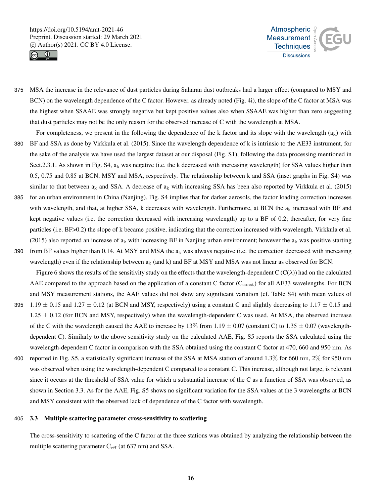



- 375 MSA the increase in the relevance of dust particles during Saharan dust outbreaks had a larger effect (compared to MSY and BCN) on the wavelength dependence of the C factor. However. as already noted (Fig. 4i), the slope of the C factor at MSA was the highest when SSAAE was strongly negative but kept positive values also when SSAAE was higher than zero suggesting that dust particles may not be the only reason for the observed increase of C with the wavelength at MSA.
- For completeness, we present in the following the dependence of the k factor and its slope with the wavelength  $(a_k)$  with 380 BF and SSA as done by Virkkula et al. (2015). Since the wavelength dependence of k is intrinsic to the AE33 instrument, for the sake of the analysis we have used the largest dataset at our disposal (Fig. S1), following the data processing mentioned in Sect.2.3.1. As shown in Fig. S4,  $a_k$  was negative (i.e. the k decreased with increasing wavelength) for SSA values higher than 0.5, 0.75 and 0.85 at BCN, MSY and MSA, respectively. The relationship between k and SSA (inset graphs in Fig. S4) was similar to that between  $a_k$  and SSA. A decrease of  $a_k$  with increasing SSA has been also reported by Virkkula et al. (2015)
- 385 for an urban environment in China (Nanjing). Fig. S4 implies that for darker aerosols, the factor loading correction increases with wavelength, and that, at higher SSA, k decreases with wavelength. Furthermore, at BCN the  $a_k$  increased with BF and kept negative values (i.e. the correction decreased with increasing wavelength) up to a BF of 0.2; thereafter, for very fine particles (i.e. BF>0.2) the slope of k became positive, indicating that the correction increased with wavelength. Virkkula et al. (2015) also reported an increase of  $a_k$  with increasing BF in Nanjing urban environment; however the  $a_k$  was positive starting
- 390 from BF values higher than 0.14. At MSY and MSA the  $a_k$  was always negative (i.e. the correction decreased with increasing wavelength) even if the relationship between  $a_k$  (and k) and BF at MSY and MSA was not linear as observed for BCN.

Figure 6 shows the results of the sensitivity study on the effects that the wavelength-dependent C ( $C(\lambda)$ ) had on the calculated AAE compared to the approach based on the application of a constant C factor ( $C_{\text{const}}$ ) for all AE33 wavelengths. For BCN and MSY measurement stations, the AAE values did not show any significant variation (cf. Table S4) with mean values of

- 395 1.19  $\pm$  0.15 and 1.27  $\pm$  0.12 (at BCN and MSY, respectively) using a constant C and slightly decreasing to 1.17  $\pm$  0.15 and  $1.25 \pm 0.12$  (for BCN and MSY, respectively) when the wavelength-dependent C was used. At MSA, the observed increase of the C with the wavelength caused the AAE to increase by 13% from 1.19  $\pm$  0.07 (constant C) to 1.35  $\pm$  0.07 (wavelengthdependent C). Similarly to the above sensitivity study on the calculated AAE, Fig. S5 reports the SSA calculated using the wavelength-dependent C factor in comparison with the SSA obtained using the constant C factor at 470, 660 and 950 nm. As
- 400 reported in Fig. S5, a statistically significant increase of the SSA at MSA station of around 1.3% for 660 nm, 2% for 950 nm was observed when using the wavelength-dependent C compared to a constant C. This increase, although not large, is relevant since it occurs at the threshold of SSA value for which a substantial increase of the C as a function of SSA was observed, as shown in Section 3.3. As for the AAE, Fig. S5 shows no significant variation for the SSA values at the 3 wavelengths at BCN and MSY consistent with the observed lack of dependence of the C factor with wavelength.

#### 405 3.3 Multiple scattering parameter cross-sensitivity to scattering

The cross-sensitivity to scattering of the C factor at the three stations was obtained by analyzing the relationship between the multiple scattering parameter  $C_{\text{eff}}$  (at 637 nm) and SSA.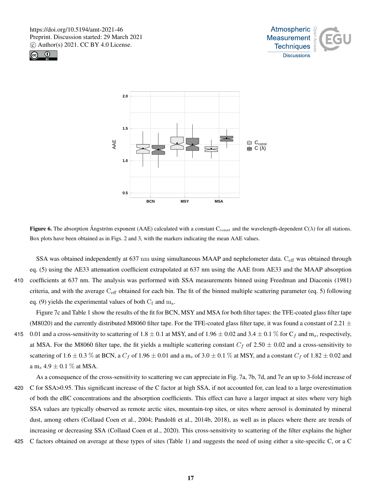





Figure 6. The absorption Ångström exponent (AAE) calculated with a constant  $C_{\text{const}}$  and the wavelength-dependent  $C(\lambda)$  for all stations. Box plots have been obtained as in Figs. 2 and 3, with the markers indicating the mean AAE values.

SSA was obtained independently at 637 nm using simultaneous MAAP and nephelometer data.  $C_{\text{eff}}$  was obtained through eq. (5) using the AE33 attenuation coefficient extrapolated at 637 nm using the AAE from AE33 and the MAAP absorption 410 coefficients at 637 nm. The analysis was performed with SSA measurements binned using Freedman and Diaconis (1981) criteria, and with the average  $C_{\text{eff}}$  obtained for each bin. The fit of the binned multiple scattering parameter (eq. 5) following eq. (9) yields the experimental values of both  $C_f$  and  $m_s$ .

Figure 7c and Table 1 show the results of the fit for BCN, MSY and MSA for both filter tapes: the TFE-coated glass filter tape (M8020) and the currently distributed M8060 filter tape. For the TFE-coated glass filter tape, it was found a constant of 2.21  $\pm$ 415 0.01 and a cross-sensitivity to scattering of 1.8  $\pm$  0.1 at MSY, and of 1.96  $\pm$  0.02 and 3.4  $\pm$  0.1 % for C<sub>f</sub> and m<sub>s</sub>, respectively, at MSA. For the M8060 filter tape, the fit yields a multiple scattering constant  $C_f$  of 2.50  $\pm$  0.02 and a cross-sensitivity to scattering of 1.6  $\pm$  0.3 % at BCN, a  $C_f$  of 1.96  $\pm$  0.01 and a m<sub>s</sub> of 3.0  $\pm$  0.1 % at MSY, and a constant  $C_f$  of 1.82  $\pm$  0.02 and

a m<sub>s</sub>  $4.9 \pm 0.1$  % at MSA.

- As a consequence of the cross-sensitivity to scattering we can appreciate in Fig. 7a, 7b, 7d, and 7e an up to 3-fold increase of 420 C for SSA>0.95. This significant increase of the C factor at high SSA, if not accounted for, can lead to a large overestimation of both the eBC concentrations and the absorption coefficients. This effect can have a larger impact at sites where very high SSA values are typically observed as remote arctic sites, mountain-top sites, or sites where aerosol is dominated by mineral dust, among others (Collaud Coen et al., 2004; Pandolfi et al., 2014b, 2018), as well as in places where there are trends of increasing or decreasing SSA (Collaud Coen et al., 2020). This cross-sensitivity to scattering of the filter explains the higher
- 425 C factors obtained on average at these types of sites (Table 1) and suggests the need of using either a site-specific C, or a C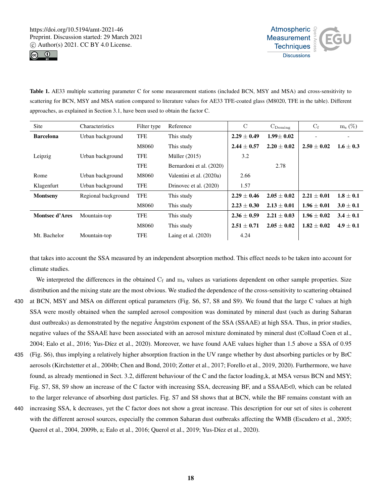



Table 1. AE33 multiple scattering parameter C for some measurement stations (included BCN, MSY and MSA) and cross-sensitivity to scattering for BCN, MSY and MSA station compared to literature values for AE33 TFE-coated glass (M8020, TFE in the table). Different approaches, as explained in Section 3.1, have been used to obtain the factor C.

| Site                  | <b>Characteristics</b> | Filter type | Reference                | $\mathcal{C}$   | $C_{\text{Deming}}$ | $C_f$           | $m_s$ $(\%)$  |
|-----------------------|------------------------|-------------|--------------------------|-----------------|---------------------|-----------------|---------------|
| <b>Barcelona</b>      | Urban background       | <b>TFE</b>  | This study               | $2.29 \pm 0.49$ | $1.99 \pm 0.02$     |                 |               |
|                       |                        | M8060       | This study               | $2.44 \pm 0.57$ | $2.20 + 0.02$       | $2.50 + 0.02$   | $1.6 + 0.3$   |
| Leipzig               | Urban background       | <b>TFE</b>  | Müller $(2015)$          | 3.2             |                     |                 |               |
|                       |                        | <b>TFE</b>  | Bernardoni et al. (2020) |                 | 2.78                |                 |               |
| Rome                  | Urban background       | M8060       | Valentini et al. (2020a) | 2.66            |                     |                 |               |
| Klagenfurt            | Urban background       | <b>TFE</b>  | Drinovec et al. (2020)   | 1.57            |                     |                 |               |
| <b>Montseny</b>       | Regional background    | <b>TFE</b>  | This study               | $2.29 + 0.46$   | $2.05 + 0.02$       | $2.21 + 0.01$   | $1.8 + 0.1$   |
|                       |                        | M8060       | This study               | $2.23 \pm 0.30$ | $2.13 \pm 0.01$     | $1.96 \pm 0.01$ | $3.0 \pm 0.1$ |
| <b>Montsec d'Ares</b> | Mountain-top           | <b>TFE</b>  | This study               | $2.36 \pm 0.59$ | $2.21 \pm 0.03$     | $1.96 \pm 0.02$ | $3.4 \pm 0.1$ |
|                       |                        | M8060       | This study               | $2.51 + 0.71$   | $2.05 + 0.02$       | $1.82 + 0.02$   | $4.9 + 0.1$   |
| Mt. Bachelor          | Mountain-top           | <b>TFE</b>  | Laing et al. $(2020)$    | 4.24            |                     |                 |               |

that takes into account the SSA measured by an independent absorption method. This effect needs to be taken into account for climate studies.

We interpreted the differences in the obtained  $C_f$  and  $m_s$  values as variations dependent on other sample properties. Size distribution and the mixing state are the most obvious. We studied the dependence of the cross-sensitivity to scattering obtained

- 430 at BCN, MSY and MSA on different optical parameters (Fig. S6, S7, S8 and S9). We found that the large C values at high SSA were mostly obtained when the sampled aerosol composition was dominated by mineral dust (such as during Saharan dust outbreaks) as demonstrated by the negative Ångström exponent of the SSA (SSAAE) at high SSA. Thus, in prior studies, negative values of the SSAAE have been associated with an aerosol mixture dominated by mineral dust (Collaud Coen et al., 2004; Ealo et al., 2016; Yus-Díez et al., 2020). Moreover, we have found AAE values higher than 1.5 above a SSA of 0.95
- 435 (Fig. S6), thus implying a relatively higher absorption fraction in the UV range whether by dust absorbing particles or by BrC aerosols (Kirchstetter et al., 2004b; Chen and Bond, 2010; Zotter et al., 2017; Forello et al., 2019, 2020). Furthermore, we have found, as already mentioned in Sect. 3.2, different behaviour of the C and the factor loading,k, at MSA versus BCN and MSY; Fig. S7, S8, S9 show an increase of the C factor with increasing SSA, decreasing BF, and a SSAAE<0, which can be related to the larger relevance of absorbing dust particles. Fig. S7 and S8 shows that at BCN, while the BF remains constant with an
- 440 increasing SSA, k decreases, yet the C factor does not show a great increase. This description for our set of sites is coherent with the different aerosol sources, especially the common Saharan dust outbreaks affecting the WMB (Escudero et al., 2005; Querol et al., 2004, 2009b, a; Ealo et al., 2016; Querol et al., 2019; Yus-Díez et al., 2020).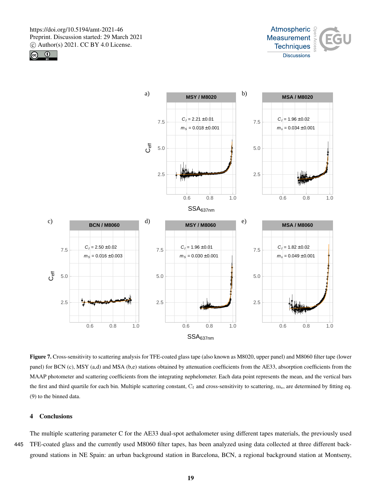





Figure 7. Cross-sensitivity to scattering analysis for TFE-coated glass tape (also known as M8020, upper panel) and M8060 filter tape (lower panel) for BCN (c), MSY (a,d) and MSA (b,e) stations obtained by attenuation coefficients from the AE33, absorption coefficients from the MAAP photometer and scattering coefficients from the integrating nephelometer. Each data point represents the mean, and the vertical bars the first and third quartile for each bin. Multiple scattering constant,  $C_f$  and cross-sensitivity to scattering, m<sub>s</sub>, are determined by fitting eq. (9) to the binned data.

# 4 Conclusions

The multiple scattering parameter C for the AE33 dual-spot aethalometer using different tapes materials, the previously used 445 TFE-coated glass and the currently used M8060 filter tapes, has been analyzed using data collected at three different background stations in NE Spain: an urban background station in Barcelona, BCN, a regional background station at Montseny,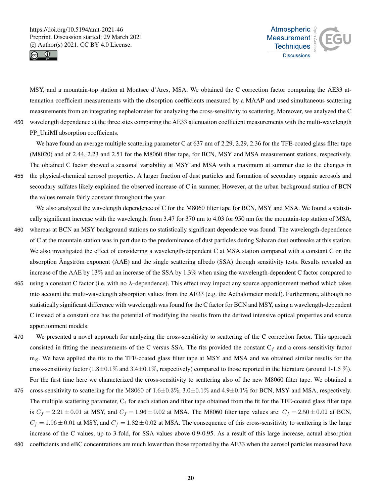



MSY, and a mountain-top station at Montsec d'Ares, MSA. We obtained the C correction factor comparing the AE33 attenuation coefficient measurements with the absorption coefficients measured by a MAAP and used simultaneous scattering measurements from an integrating nephelometer for analyzing the cross-sensitivity to scattering. Moreover, we analyzed the C 450 wavelength dependence at the three sites comparing the AE33 attenuation coefficient measurements with the multi-wavelength PP\_UniMI absorption coefficients.

We have found an average multiple scattering parameter C at 637 nm of 2.29, 2.29, 2.36 for the TFE-coated glass filter tape (M8020) and of 2.44, 2.23 and 2.51 for the M8060 filter tape, for BCN, MSY and MSA measurement stations, respectively. The obtained C factor showed a seasonal variability at MSY and MSA with a maximum at summer due to the changes in

455 the physical-chemical aerosol properties. A larger fraction of dust particles and formation of secondary organic aerosols and secondary sulfates likely explained the observed increase of C in summer. However, at the urban background station of BCN the values remain fairly constant throughout the year.

We also analyzed the wavelength dependence of C for the M8060 filter tape for BCN, MSY and MSA. We found a statistically significant increase with the wavelength, from 3.47 for 370 nm to 4.03 for 950 nm for the mountain-top station of MSA,

- 460 whereas at BCN an MSY background stations no statistically significant dependence was found. The wavelength-dependence of C at the mountain station was in part due to the predominance of dust particles during Saharan dust outbreaks at this station. We also investigated the effect of considering a wavelength-dependent C at MSA station compared with a constant C on the absorption Ångström exponent (AAE) and the single scattering albedo (SSA) through sensitivity tests. Results revealed an increase of the AAE by 13% and an increase of the SSA by 1.3% when using the wavelength-dependent C factor compared to
- 465 using a constant C factor (i.e. with no  $\lambda$ -dependence). This effect may impact any source apportionment method which takes into account the multi-wavelength absorption values from the AE33 (e.g. the Aethalometer model). Furthermore, although no statistically significant difference with wavelength was found for the C factor for BCN and MSY, using a wavelength-dependent C instead of a constant one has the potential of modifying the results from the derived intensive optical properties and source apportionment models.
- 470 We presented a novel approach for analyzing the cross-sensitivity to scattering of the C correction factor. This approach consisted in fitting the measurements of the C versus SSA. The fits provided the constant  $C_f$  and a cross-sensitivity factor  $m<sub>S</sub>$ . We have applied the fits to the TFE-coated glass filter tape at MSY and MSA and we obtained similar results for the cross-sensitivity factor (1.8±0.1% and 3.4±0.1%, respectively) compared to those reported in the literature (around 1-1.5 %). For the first time here we characterized the cross-sensitivity to scattering also of the new M8060 filter tape. We obtained a
- 475 cross-sensitivity to scattering for the M8060 of  $1.6\pm0.3\%$ ,  $3.0\pm0.1\%$  and  $4.9\pm0.1\%$  for BCN, MSY and MSA, respectively. The multiple scattering parameter,  $C_f$  for each station and filter tape obtained from the fit for the TFE-coated glass filter tape is  $C_f = 2.21 \pm 0.01$  at MSY, and  $C_f = 1.96 \pm 0.02$  at MSA. The M8060 filter tape values are:  $C_f = 2.50 \pm 0.02$  at BCN,  $C_f = 1.96 \pm 0.01$  at MSY, and  $C_f = 1.82 \pm 0.02$  at MSA. The consequence of this cross-sensitivity to scattering is the large increase of the C values, up to 3-fold, for SSA values above 0.9-0.95. As a result of this large increase, actual absorption
- 480 coefficients and eBC concentrations are much lower than those reported by the AE33 when the aerosol particles measured have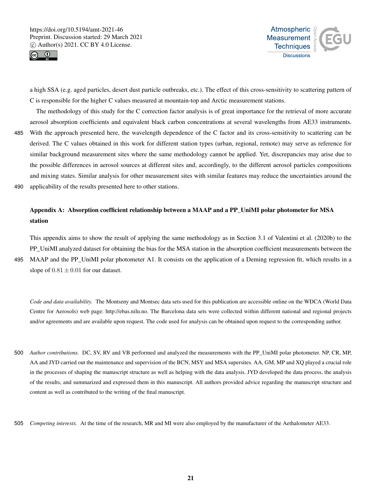

station



a high SSA (e.g. aged particles, desert dust particle outbreaks, etc.). The effect of this cross-sensitivity to scattering pattern of C is responsible for the higher C values measured at mountain-top and Arctic measurement stations.

The methodology of this study for the C correction factor analysis is of great importance for the retrieval of more accurate aerosol absorption coefficients and equivalent black carbon concentrations at several wavelengths from AE33 instruments. 485 With the approach presented here, the wavelength dependence of the C factor and its cross-sensitivity to scattering can be derived. The C values obtained in this work for different station types (urban, regional, remote) may serve as reference for similar background measurement sites where the same methodology cannot be applied. Yet, discrepancies may arise due to the possible differences in aerosol sources at different sites and, accordingly, to the different aerosol particles compositions and mixing states. Similar analysis for other measurement sites with similar features may reduce the uncertainties around the 490 applicability of the results presented here to other stations.

Appendix A: Absorption coefficient relationship between a MAAP and a PP\_UniMI polar photometer for MSA

This appendix aims to show the result of applying the same methodology as in Section 3.1 of Valentini et al. (2020b) to the PP\_UniMI analyzed dataset for obtaining the bias for the MSA station in the absorption coefficient measurements between the 495 MAAP and the PP\_UniMI polar photometer A1. It consists on the application of a Deming regression fit, which results in a slope of  $0.81 \pm 0.01$  for our dataset.

*Code and data availability.* The Montseny and Montsec data sets used for this publication are accessible online on the WDCA (World Data Centre for Aerosols) web page: http://ebas.nilu.no. The Barcelona data sets were collected within different national and regional projects and/or agreements and are available upon request. The code used for analysis can be obtained upon request to the corresponding author.

500 *Author contributions.* DC, SV, RV and VB performed and analyzed the measurements with the PP\_UniMI polar photometer. NP, CR, MP, AA and JYD carried out the maintenance and supervision of the BCN, MSY and MSA supersites. AA, GM, MP and XQ played a crucial role in the processes of shaping the manuscript structure as well as helping with the data analysis. JYD developed the data process, the analysis of the results, and summarized and expressed them in this manuscript. All authors provided advice regarding the manuscript structure and content as well as contributed to the writing of the final manuscript.

505 *Competing interests.* At the time of the research, MR and MI were also employed by the manufacturer of the Aethalometer AE33.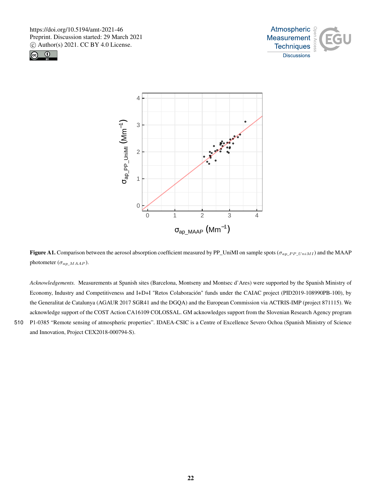





Figure A1. Comparison between the aerosol absorption coefficient measured by PP\_UniMI on sample spots ( $\sigma_{ap\_PP\_UniMI}$ ) and the MAAP photometer ( $\sigma_{ap\_MAAP}$ ).

*Acknowledgements.* Measurements at Spanish sites (Barcelona, Montseny and Montsec d'Ares) were supported by the Spanish Ministry of Economy, Industry and Competitiveness and I+D+I "Retos Colaboración" funds under the CAIAC project (PID2019-108990PB-100), by the Generalitat de Catalunya (AGAUR 2017 SGR41 and the DGQA) and the European Commission via ACTRIS-IMP (project 871115). We acknowledge support of the COST Action CA16109 COLOSSAL. GM acknowledges support from the Slovenian Research Agency program 510 P1-0385 "Remote sensing of atmospheric properties". IDAEA-CSIC is a Centre of Excellence Severo Ochoa (Spanish Ministry of Science and Innovation, Project CEX2018-000794-S).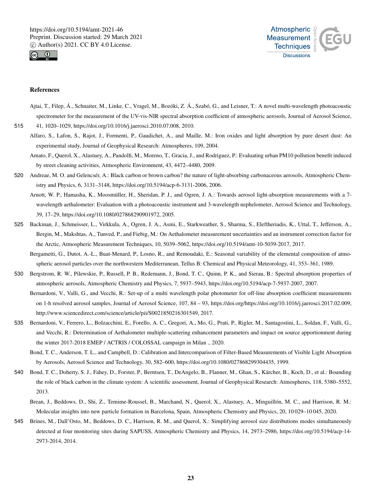



#### References

Ajtai, T., Filep, Á., Schnaiter, M., Linke, C., Vragel, M., Bozóki, Z. Á., Szabó, G., and Leisner, T.: A novel multi-wavelength photoacoustic spectrometer for the measurement of the UV-vis-NIR spectral absorption coefficient of atmospheric aerosols, Journal of Aerosol Science,

515 41, 1020–1029, https://doi.org/10.1016/j.jaerosci.2010.07.008, 2010.

- Alfaro, S., Lafon, S., Rajot, J., Formenti, P., Gaudichet, A., and Maille, M.: Iron oxides and light absorption by pure desert dust: An experimental study, Journal of Geophysical Research: Atmospheres, 109, 2004.
- Amato, F., Querol, X., Alastuey, A., Pandolfi, M., Moreno, T., Gracia, J., and Rodriguez, P.: Evaluating urban PM10 pollution benefit induced by street cleaning activities, Atmospheric Environment, 43, 4472–4480, 2009.
- 520 Andreae, M. O. and Gelencsér, A.: Black carbon or brown carbon? the nature of light-absorbing carbonaceous aerosols, Atmospheric Chemistry and Physics, 6, 3131–3148, https://doi.org/10.5194/acp-6-3131-2006, 2006.
	- Arnott, W. P., Hamasha, K., Moosmüller, H., Sheridan, P. J., and Ogren, J. A.: Towards aerosol light-absorption measurements with a 7 wavelength aethalometer: Evaluation with a photoacoustic instrument and 3-wavelength nephelometer, Aerosol Science and Technology, 39, 17–29, https://doi.org/10.1080/027868290901972, 2005.
- 525 Backman, J., Schmeisser, L., Virkkula, A., Ogren, J. A., Asmi, E., Starkweather, S., Sharma, S., Eleftheriadis, K., Uttal, T., Jefferson, A., Bergin, M., Makshtas, A., Tunved, P., and Fiebig, M.: On Aethalometer measurement uncertainties and an instrument correction factor for the Arctic, Atmospheric Measurement Techniques, 10, 5039–5062, https://doi.org/10.5194/amt-10-5039-2017, 2017.
	- Bergametti, G., Dutot, A.-L., Buat-Menard, P., Losno, R., and Remoudaki, E.: Seasonal variability of the elemental composition of atmospheric aerosol particles over the northwestern Mediterranean, Tellus B: Chemical and Physical Meteorology, 41, 353–361, 1989.
- 530 Bergstrom, R. W., Pilewskie, P., Russell, P. B., Redemann, J., Bond, T. C., Quinn, P. K., and Sierau, B.: Spectral absorption properties of atmospheric aerosols, Atmospheric Chemistry and Physics, 7, 5937–5943, https://doi.org/10.5194/acp-7-5937-2007, 2007.
	- Bernardoni, V., Valli, G., and Vecchi, R.: Set-up of a multi wavelength polar photometer for off-line absorption coefficient measurements on 1-h resolved aerosol samples, Journal of Aerosol Science, 107, 84 – 93, https://doi.org/https://doi.org/10.1016/j.jaerosci.2017.02.009, http://www.sciencedirect.com/science/article/pii/S0021850216301549, 2017.
- 535 Bernardoni, V., Ferrero, L., Bolzacchini, E., Forello, A. C., Gregori, A., Mo, G., Prati, P., Rigler, M., Santagostini, L., Soldan, F., Valli, G., and Vecchi, R.: Determination of Aethalometer multiple-scattering enhancement parameters and impact on source apportionment during the winter 2017-2018 EMEP / ACTRIS / COLOSSAL campaign in Milan ., 2020.
	- Bond, T. C., Anderson, T. L., and Campbell, D.: Calibration and Intercomparison of Filter-Based Measurements of Visible Light Absorption by Aerosols, Aerosol Science and Technology, 30, 582–600, https://doi.org/10.1080/027868299304435, 1999.
- 540 Bond, T. C., Doherty, S. J., Fahey, D., Forster, P., Berntsen, T., DeAngelo, B., Flanner, M., Ghan, S., Kärcher, B., Koch, D., et al.: Bounding the role of black carbon in the climate system: A scientific assessment, Journal of Geophysical Research: Atmospheres, 118, 5380–5552, 2013.
	- Brean, J., Beddows, D., Shi, Z., Temime-Roussel, B., Marchand, N., Querol, X., Alastuey, A., Minguillón, M. C., and Harrison, R. M.: Molecular insights into new particle formation in Barcelona, Spain, Atmospheric Chemistry and Physics, 20, 10 029–10 045, 2020.
- 545 Brines, M., Dall'Osto, M., Beddows, D. C., Harrison, R. M., and Querol, X.: Simplifying aerosol size distributions modes simultaneously detected at four monitoring sites during SAPUSS, Atmospheric Chemistry and Physics, 14, 2973–2986, https://doi.org/10.5194/acp-14- 2973-2014, 2014.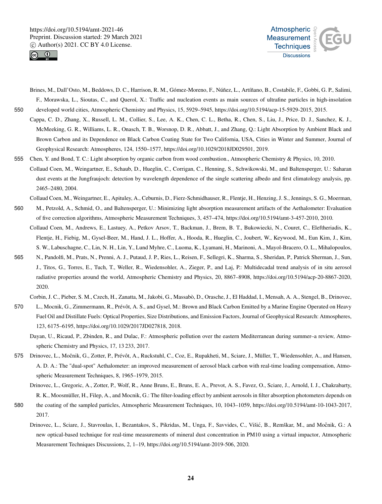



- Brines, M., Dall'Osto, M., Beddows, D. C., Harrison, R. M., Gómez-Moreno, F., Núñez, L., Artíñano, B., Costabile, F., Gobbi, G. P., Salimi, F., Morawska, L., Sioutas, C., and Querol, X.: Traffic and nucleation events as main sources of ultrafine particles in high-insolation 550 developed world cities, Atmospheric Chemistry and Physics, 15, 5929–5945, https://doi.org/10.5194/acp-15-5929-2015, 2015.
	- Cappa, C. D., Zhang, X., Russell, L. M., Collier, S., Lee, A. K., Chen, C. L., Betha, R., Chen, S., Liu, J., Price, D. J., Sanchez, K. J., McMeeking, G. R., Williams, L. R., Onasch, T. B., Worsnop, D. R., Abbatt, J., and Zhang, Q.: Light Absorption by Ambient Black and Brown Carbon and its Dependence on Black Carbon Coating State for Two California, USA, Cities in Winter and Summer, Journal of Geophysical Research: Atmospheres, 124, 1550–1577, https://doi.org/10.1029/2018JD029501, 2019.
- 555 Chen, Y. and Bond, T. C.: Light absorption by organic carbon from wood combustion., Atmospheric Chemistry & Physics, 10, 2010. Collaud Coen, M., Weingartner, E., Schaub, D., Hueglin, C., Corrigan, C., Henning, S., Schwikowski, M., and Baltensperger, U.: Saharan dust events at the Jungfraujoch: detection by wavelength dependence of the single scattering albedo and first climatology analysis, pp. 2465–2480, 2004.
- Collaud Coen, M., Weingartner, E., Apituley, A., Ceburnis, D., Fierz-Schmidhauser, R., Flentje, H., Henzing, J. S., Jennings, S. G., Moerman, 560 M., Petzold, A., Schmid, O., and Baltensperger, U.: Minimizing light absorption measurement artifacts of the Aethalometer: Evaluation of five correction algorithms, Atmospheric Measurement Techniques, 3, 457–474, https://doi.org/10.5194/amt-3-457-2010, 2010.
	- Collaud Coen, M., Andrews, E., Lastuey, A., Petkov Arsov, T., Backman, J., Brem, B. T., Bukowiecki, N., Couret, C., Eleftheriadis, K., Flentje, H., Fiebig, M., Gysel-Beer, M., Hand, J. L., Hoffer, A., Hooda, R., Hueglin, C., Joubert, W., Keywood, M., Eun Kim, J., Kim, S. W., Labuschagne, C., Lin, N. H., Lin, Y., Lund Myhre, C., Luoma, K., Lyamani, H., Marinoni, A., Mayol-Bracero, O. L., Mihalopoulos,
- 565 N., Pandolfi, M., Prats, N., Prenni, A. J., Putaud, J. P., Ries, L., Reisen, F., Sellegri, K., Sharma, S., Sheridan, P., Patrick Sherman, J., Sun, J., Titos, G., Torres, E., Tuch, T., Weller, R., Wiedensohler, A., Zieger, P., and Laj, P.: Multidecadal trend analysis of in situ aerosol radiative properties around the world, Atmospheric Chemistry and Physics, 20, 8867–8908, https://doi.org/10.5194/acp-20-8867-2020, 2020.
	- Corbin, J. C., Pieber, S. M., Czech, H., Zanatta, M., Jakobi, G., Massabò, D., Orasche, J., El Haddad, I., Mensah, A. A., Stengel, B., Drinovec,
- 570 L., Mocnik, G., Zimmermann, R., Prévôt, A. S., and Gysel, M.: Brown and Black Carbon Emitted by a Marine Engine Operated on Heavy Fuel Oil and Distillate Fuels: Optical Properties, Size Distributions, and Emission Factors, Journal of Geophysical Research: Atmospheres, 123, 6175–6195, https://doi.org/10.1029/2017JD027818, 2018.
	- Dayan, U., Ricaud, P., Zbinden, R., and Dulac, F.: Atmospheric pollution over the eastern Mediterranean during summer–a review, Atmospheric Chemistry and Physics, 17, 13 233, 2017.
- 575 Drinovec, L., Močnik, G., Zotter, P., Prévôt, A., Ruckstuhl, C., Coz, E., Rupakheti, M., Sciare, J., Müller, T., Wiedensohler, A., and Hansen, A. D. A.: The "dual-spot" Aethalometer: an improved measurement of aerosol black carbon with real-time loading compensation, Atmospheric Measurement Techniques, 8, 1965–1979, 2015.
	- Drinovec, L., Gregoric, A., Zotter, P., Wolf, R., Anne Bruns, E., Bruns, E. A., Prevot, A. S., Favez, O., Sciare, J., Arnold, I. J., Chakrabarty, R. K., Moosmüller, H., Filep, A., and Mocnik, G.: The filter-loading effect by ambient aerosols in filter absorption photometers depends on
- 580 the coating of the sampled particles, Atmospheric Measurement Techniques, 10, 1043–1059, https://doi.org/10.5194/amt-10-1043-2017, 2017.
	- Drinovec, L., Sciare, J., Stavroulas, I., Bezantakos, S., Pikridas, M., Unga, F., Savvides, C., Višić, B., Remškar, M., and Močnik, G.: A new optical-based technique for real-time measurements of mineral dust concentration in PM10 using a virtual impactor, Atmospheric Measurement Techniques Discussions, 2, 1–19, https://doi.org/10.5194/amt-2019-506, 2020.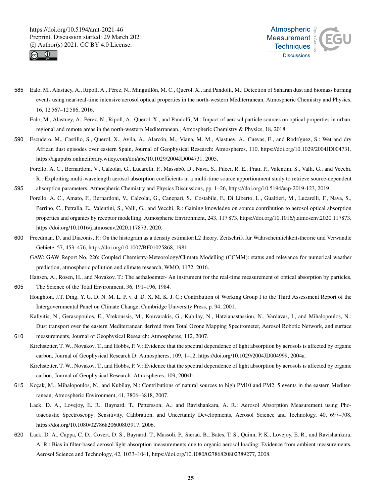



585 Ealo, M., Alastuey, A., Ripoll, A., Pérez, N., Minguillón, M. C., Querol, X., and Pandolfi, M.: Detection of Saharan dust and biomass burning events using near-real-time intensive aerosol optical properties in the north-western Mediterranean, Atmospheric Chemistry and Physics, 16, 12 567–12 586, 2016.

- 590 Escudero, M., Castillo, S., Querol, X., Avila, A., Alarcón, M., Viana, M. M., Alastuey, A., Cuevas, E., and Rodríguez, S.: Wet and dry African dust episodes over eastern Spain, Journal of Geophysical Research: Atmospheres, 110, https://doi.org/10.1029/2004JD004731, https://agupubs.onlinelibrary.wiley.com/doi/abs/10.1029/2004JD004731, 2005.
- Forello, A. C., Bernardoni, V., Calzolai, G., Lucarelli, F., Massabò, D., Nava, S., Pileci, R. E., Prati, P., Valentini, S., Valli, G., and Vecchi, R.: Exploiting multi-wavelength aerosol absorption coefficients in a multi-time source apportionment study to retrieve source-dependent 595 absorption parameters, Atmospheric Chemistry and Physics Discussions, pp. 1–26, https://doi.org/10.5194/acp-2019-123, 2019.
- Forello, A. C., Amato, F., Bernardoni, V., Calzolai, G., Canepari, S., Costabile, F., Di Liberto, L., Gualtieri, M., Lucarelli, F., Nava, S., Perrino, C., Petralia, E., Valentini, S., Valli, G., and Vecchi, R.: Gaining knowledge on source contribution to aerosol optical absorption properties and organics by receptor modelling, Atmospheric Environment, 243, 117 873, https://doi.org/10.1016/j.atmosenv.2020.117873, https://doi.org/10.1016/j.atmosenv.2020.117873, 2020.
- 600 Freedman, D. and Diaconis, P.: On the histogram as a density estimator:L2 theory, Zeitschrift für Wahrscheinlichkeitstheorie und Verwandte Gebiete, 57, 453–476, https://doi.org/10.1007/BF01025868, 1981.
	- GAW: GAW Report No. 226: Coupled Chemistry-Meteorology/Climate Modelling (CCMM): status and relevance for numerical weather prediction, atmospheric pollution and climate research, WMO, 1172, 2016.

Hansen, A., Rosen, H., and Novakov, T.: The aethaloemter- An instrument for the real-time measurement of optical absorption by particles, 605 The Science of the Total Environment, 36, 191–196, 1984.

Houghton, J.T. Ding, Y. G. D. N. M. L. P. v. d. D. X. M. K. J. C.: Contribution of Working Group I to the Third Assessment Report of the Intergovernmental Panel on Climate Change, Cambridge University Press, p. 94, 2001.

Kalivitis, N., Gerasopoulos, E., Vrekoussis, M., Kouvarakis, G., Kubilay, N., Hatzianastassiou, N., Vardavas, I., and Mihalopoulos, N.: Dust transport over the eastern Mediterranean derived from Total Ozone Mapping Spectrometer, Aerosol Robotic Network, and surface 610 measurements, Journal of Geophysical Research: Atmospheres, 112, 2007.

Kirchstetter, T. W., Novakov, T., and Hobbs, P. V.: Evidence that the spectral dependence of light absorption by aerosols is affected by organic carbon, Journal of Geophysical Research D: Atmospheres, 109, 1–12, https://doi.org/10.1029/2004JD004999, 2004a.

Kirchstetter, T. W., Novakov, T., and Hobbs, P. V.: Evidence that the spectral dependence of light absorption by aerosols is affected by organic carbon, Journal of Geophysical Research: Atmospheres, 109, 2004b.

- 615 Koçak, M., Mihalopoulos, N., and Kubilay, N.: Contributions of natural sources to high PM10 and PM2. 5 events in the eastern Mediterranean, Atmospheric Environment, 41, 3806–3818, 2007.
	- Lack, D. A., Lovejoy, E. R., Baynard, T., Pettersson, A., and Ravishankara, A. R.: Aerosol Absorption Measurement using Photoacoustic Spectroscopy: Sensitivity, Calibration, and Uncertainty Developments, Aerosol Science and Technology, 40, 697–708, https://doi.org/10.1080/02786820600803917, 2006.
- 620 Lack, D. A., Cappa, C. D., Covert, D. S., Baynard, T., Massoli, P., Sierau, B., Bates, T. S., Quinn, P. K., Lovejoy, E. R., and Ravishankara, A. R.: Bias in filter-based aerosol light absorption measurements due to organic aerosol loading: Evidence from ambient measurements, Aerosol Science and Technology, 42, 1033–1041, https://doi.org/10.1080/02786820802389277, 2008.

Ealo, M., Alastuey, A., Pérez, N., Ripoll, A., Querol, X., and Pandolfi, M.: Impact of aerosol particle sources on optical properties in urban, regional and remote areas in the north-western Mediterranean., Atmospheric Chemistry & Physics, 18, 2018.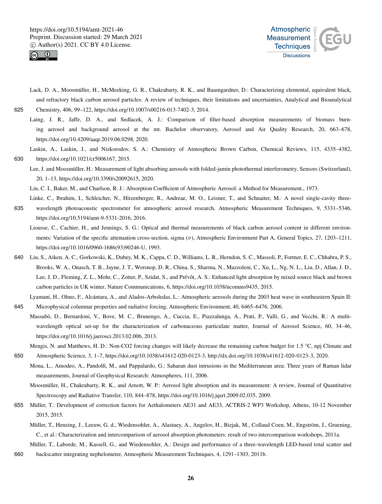



- Lack, D. A., Moosmüller, H., McMeeking, G. R., Chakrabarty, R. K., and Baumgardner, D.: Characterizing elemental, equivalent black, and refractory black carbon aerosol particles: A review of techniques, their limitations and uncertainties, Analytical and Bioanalytical 625 Chemistry, 406, 99–122, https://doi.org/10.1007/s00216-013-7402-3, 2014.
	- Laing, J. R., Jaffe, D. A., and Sedlacek, A. J.: Comparison of filter-based absorption measurements of biomass burning aerosol and background aerosol at the mt. Bachelor observatory, Aerosol and Air Quality Research, 20, 663–678, https://doi.org/10.4209/aaqr.2019.06.0298, 2020.
- Laskin, A., Laskin, J., and Nizkorodov, S. A.: Chemistry of Atmospheric Brown Carbon, Chemical Reviews, 115, 4335–4382, 630 https://doi.org/10.1021/cr5006167, 2015.
	- Lee, J. and Moosmüller, H.: Measurement of light absorbing aerosols with folded-jamin photothermal interferometry, Sensors (Switzerland), 20, 1–13, https://doi.org/10.3390/s20092615, 2020.

Lin, C. I., Baker, M., and Charlson, R. J.: Absorption Coefficient of Atmospheric Aerosol: a Method for Measurement., 1973.

Linke, C., Ibrahim, I., Schleicher, N., Hitzenberger, R., Andreae, M. O., Leisner, T., and Schnaiter, M.: A novel single-cavity three-

- 635 wavelength photoacoustic spectrometer for atmospheric aerosol research, Atmospheric Measurement Techniques, 9, 5331–5346, https://doi.org/10.5194/amt-9-5331-2016, 2016.
	- Liousse, C., Cachier, H., and Jennings, S. G.: Optical and thermal measurements of black carbon aerosol content in different environments: Variation of the specific attenuation cross-section, sigma  $(\sigma)$ , Atmospheric Environment Part A, General Topics, 27, 1203–1211, https://doi.org/10.1016/0960-1686(93)90246-U, 1993.
- 640 Liu, S., Aiken, A. C., Gorkowski, K., Dubey, M. K., Cappa, C. D., Williams, L. R., Herndon, S. C., Massoli, P., Fortner, E. C., Chhabra, P. S., Brooks, W. A., Onasch, T. B., Jayne, J. T., Worsnop, D. R., China, S., Sharma, N., Mazzoleni, C., Xu, L., Ng, N. L., Liu, D., Allan, J. D., Lee, J. D., Fleming, Z. L., Mohr, C., Zotter, P., Szidat, S., and Prévôt, A. S.: Enhanced light absorption by mixed source black and brown carbon particles in UK winter, Nature Communications, 6, https://doi.org/10.1038/ncomms9435, 2015.
- Lyamani, H., Olmo, F., Alcántara, A., and Alados-Arboledas, L.: Atmospheric aerosols during the 2003 heat wave in southeastern Spain II: 645 Microphysical columnar properties and radiative forcing, Atmospheric Environment, 40, 6465–6476, 2006.
- Massabò, D., Bernardoni, V., Bove, M. C., Brunengo, A., Cuccia, E., Piazzalunga, A., Prati, P., Valli, G., and Vecchi, R.: A multiwavelength optical set-up for the characterization of carbonaceous particulate matter, Journal of Aerosol Science, 60, 34–46, https://doi.org/10.1016/j.jaerosci.2013.02.006, 2013.
- Mengis, N. and Matthews, H. D.: Non-CO2 forcing changes will likely decrease the remaining carbon budget for 1.5 °C, npj Climate and 650 Atmospheric Science, 3, 1–7, https://doi.org/10.1038/s41612-020-0123-3, http://dx.doi.org/10.1038/s41612-020-0123-3, 2020.
	- Mona, L., Amodeo, A., Pandolfi, M., and Pappalardo, G.: Saharan dust intrusions in the Mediterranean area: Three years of Raman lidar measurements, Journal of Geophysical Research: Atmospheres, 111, 2006.
		- Moosmüller, H., Chakrabarty, R. K., and Arnott, W. P.: Aerosol light absorption and its measurement: A review, Journal of Quantitative Spectroscopy and Radiative Transfer, 110, 844–878, https://doi.org/10.1016/j.jqsrt.2009.02.035, 2009.
- 655 Müller, T.: Development of correction factors for Aethalometers AE31 and AE33, ACTRIS-2 WP3 Workshop, Athens, 10-12 November 2015, 2015.
	- Müller, T., Henzing, J., Leeuw, G. d., Wiedensohler, A., Alastuey, A., Angelov, H., Bizjak, M., Collaud Coen, M., Engström, J., Gruening, C., et al.: Characterization and intercomparison of aerosol absorption photometers: result of two intercomparison workshops, 2011a.
- Müller, T., Laborde, M., Kassell, G., and Wiedensohler, A.: Design and performance of a three-wavelength LED-based total scatter and 660 backscatter integrating nephelometer, Atmospheric Measurement Techniques, 4, 1291–1303, 2011b.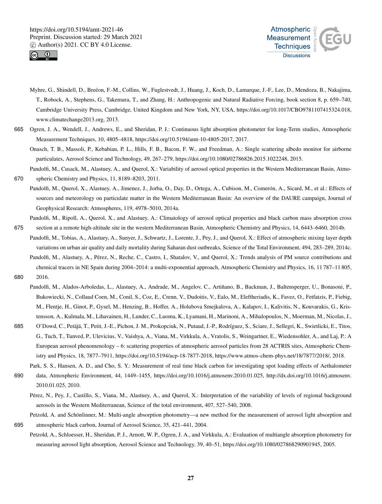



- Myhre, G., Shindell, D., Breéon, F.-M., Collins, W., Fuglestvedt, J., Huang, J., Koch, D., Lamarque, J.-F., Lee, D., Mendoza, B., Nakajima, T., Robock, A., Stephens, G., Takemura, T., and Zhang, H.: Anthropogenic and Natural Radiative Forcing, book section 8, p. 659–740, Cambridge University Press, Cambridge, United Kingdom and New York, NY, USA, https://doi.org/10.1017/CBO9781107415324.018, www.climatechange2013.org, 2013.
- 665 Ogren, J. A., Wendell, J., Andrews, E., and Sheridan, P. J.: Continuous light absorption photometer for long-Term studies, Atmospheric Measurement Techniques, 10, 4805–4818, https://doi.org/10.5194/amt-10-4805-2017, 2017.
	- Onasch, T. B., Massoli, P., Kebabian, P. L., Hills, F. B., Bacon, F. W., and Freedman, A.: Single scattering albedo monitor for airborne particulates, Aerosol Science and Technology, 49, 267–279, https://doi.org/10.1080/02786826.2015.1022248, 2015.
- Pandolfi, M., Cusack, M., Alastuey, A., and Querol, X.: Variability of aerosol optical properties in the Western Mediterranean Basin, Atmo-670 spheric Chemistry and Physics, 11, 8189–8203, 2011.
	- Pandolfi, M., Querol, X., Alastuey, A., Jimenez, J., Jorba, O., Day, D., Ortega, A., Cubison, M., Comerón, A., Sicard, M., et al.: Effects of sources and meteorology on particulate matter in the Western Mediterranean Basin: An overview of the DAURE campaign, Journal of Geophysical Research: Atmospheres, 119, 4978–5010, 2014a.
- Pandolfi, M., Ripoll, A., Querol, X., and Alastuey, A.: Climatology of aerosol optical properties and black carbon mass absorption cross 675 section at a remote high-altitude site in the western Mediterranean Basin, Atmospheric Chemistry and Physics, 14, 6443–6460, 2014b.
- Pandolfi, M., Tobias, A., Alastuey, A., Sunyer, J., Schwartz, J., Lorente, J., Pey, J., and Querol, X.: Effect of atmospheric mixing layer depth variations on urban air quality and daily mortality during Saharan dust outbreaks, Science of the Total Environment, 494, 283–289, 2014c.
- Pandolfi, M., Alastuey, A., Pérez, N., Reche, C., Castro, I., Shatalov, V., and Querol, X.: Trends analysis of PM source contributions and chemical tracers in NE Spain during 2004–2014: a multi-exponential approach, Atmospheric Chemistry and Physics, 16, 11 787–11 805, 680 2016.
- Pandolfi, M., Alados-Arboledas, L., Alastuey, A., Andrade, M., Angelov, C., Artiñano, B., Backman, J., Baltensperger, U., Bonasoni, P., Bukowiecki, N., Collaud Coen, M., Conil, S., Coz, E., Crenn, V., Dudoitis, V., Ealo, M., Eleftheriadis, K., Favez, O., Fetfatzis, P., Fiebig, M., Flentje, H., Ginot, P., Gysel, M., Henzing, B., Hoffer, A., Holubova Smejkalova, A., Kalapov, I., Kalivitis, N., Kouvarakis, G., Kristensson, A., Kulmala, M., Lihavainen, H., Lunder, C., Luoma, K., Lyamani, H., Marinoni, A., Mihalopoulos, N., Moerman, M., Nicolas, J.,
- 685 O'Dowd, C., Petäjä, T., Petit, J.-E., Pichon, J. M., Prokopciuk, N., Putaud, J.-P., Rodríguez, S., Sciare, J., Sellegri, K., Swietlicki, E., Titos, G., Tuch, T., Tunved, P., Ulevicius, V., Vaishya, A., Viana, M., Virkkula, A., Vratolis, S., Weingartner, E., Wiedensohler, A., and Laj, P.: A European aerosol phenomenology – 6: scattering properties of atmospheric aerosol particles from 28 ACTRIS sites, Atmospheric Chemistry and Physics, 18, 7877–7911, https://doi.org/10.5194/acp-18-7877-2018, https://www.atmos-chem-phys.net/18/7877/2018/, 2018.
- Park, S. S., Hansen, A. D., and Cho, S. Y.: Measurement of real time black carbon for investigating spot loading effects of Aethalometer 690 data, Atmospheric Environment, 44, 1449–1455, https://doi.org/10.1016/j.atmosenv.2010.01.025, http://dx.doi.org/10.1016/j.atmosenv. 2010.01.025, 2010.
	- Pérez, N., Pey, J., Castillo, S., Viana, M., Alastuey, A., and Querol, X.: Interpretation of the variability of levels of regional background aerosols in the Western Mediterranean, Science of the total environment, 407, 527–540, 2008.

Petzold, A. and Schönlinner, M.: Multi-angle absorption photometry—a new method for the measurement of aerosol light absorption and

- 695 atmospheric black carbon, Journal of Aerosol Science, 35, 421–441, 2004.
	- Petzold, A., Schloesser, H., Sheridan, P. J., Arnott, W. P., Ogren, J. A., and Virkkula, A.: Evaluation of multiangle absorption photometry for measuring aerosol light absorption, Aerosol Science and Technology, 39, 40–51, https://doi.org/10.1080/027868290901945, 2005.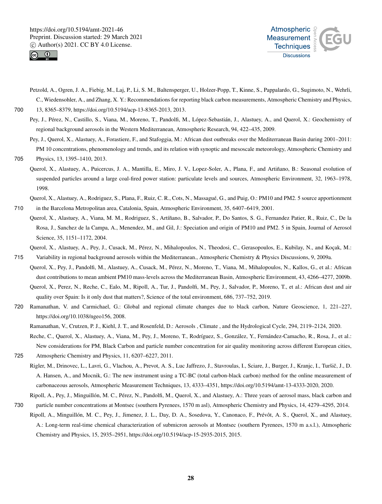



Petzold, A., Ogren, J. A., Fiebig, M., Laj, P., Li, S. M., Baltensperger, U., Holzer-Popp, T., Kinne, S., Pappalardo, G., Sugimoto, N., Wehrli, C., Wiedensohler, A., and Zhang, X. Y.: Recommendations for reporting black carbon measurements, Atmospheric Chemistry and Physics,

700 13, 8365–8379, https://doi.org/10.5194/acp-13-8365-2013, 2013.

- Pey, J., Pérez, N., Castillo, S., Viana, M., Moreno, T., Pandolfi, M., López-Sebastián, J., Alastuey, A., and Querol, X.: Geochemistry of regional background aerosols in the Western Mediterranean, Atmospheric Research, 94, 422–435, 2009.
- Pey, J., Querol, X., Alastuey, A., Forastiere, F., and Stafoggia, M.: African dust outbreaks over the Mediterranean Basin during 2001–2011: PM 10 concentrations, phenomenology and trends, and its relation with synoptic and mesoscale meteorology, Atmospheric Chemistry and 705 Physics, 13, 1395–1410, 2013.

- Querol, X., Alastuey, A., Puicercus, J. A., Mantilla, E., Miro, J. V., Lopez-Soler, A., Plana, F., and Artiñano, B.: Seasonal evolution of suspended particles around a large coal-fired power station: particulate levels and sources, Atmospheric Environment, 32, 1963–1978, 1998.
- Querol, X., Alastuey, A., Rodriguez, S., Plana, F., Ruiz, C. R., Cots, N., Massagué, G., and Puig, O.: PM10 and PM2. 5 source apportionment 710 in the Barcelona Metropolitan area, Catalonia, Spain, Atmospheric Environment, 35, 6407–6419, 2001.
- Querol, X., Alastuey, A., Viana, M. M., Rodriguez, S., Artíñano, B., Salvador, P., Do Santos, S. G., Fernandez Patier, R., Ruiz, C., De la Rosa, J., Sanchez de la Campa, A., Menendez, M., and Gil, J.: Speciation and origin of PM10 and PM2. 5 in Spain, Journal of Aerosol Science, 35, 1151–1172, 2004.

Querol, X., Alastuey, A., Pey, J., Cusack, M., Pérez, N., Mihalopoulos, N., Theodosi, C., Gerasopoulos, E., Kubilay, N., and Koçak, M.:

- 715 Variability in regional background aerosols within the Mediterranean., Atmospheric Chemistry & Physics Discussions, 9, 2009a. Querol, X., Pey, J., Pandolfi, M., Alastuey, A., Cusack, M., Pérez, N., Moreno, T., Viana, M., Mihalopoulos, N., Kallos, G., et al.: African dust contributions to mean ambient PM10 mass-levels across the Mediterranean Basin, Atmospheric Environment, 43, 4266–4277, 2009b. Querol, X., Perez, N., Reche, C., Ealo, M., Ripoll, A., Tur, J., Pandolfi, M., Pey, J., Salvador, P., Moreno, T., et al.: African dust and air quality over Spain: Is it only dust that matters?, Science of the total environment, 686, 737–752, 2019.
- 720 Ramanathan, V. and Carmichael, G.: Global and regional climate changes due to black carbon, Nature Geoscience, 1, 221–227, https://doi.org/10.1038/ngeo156, 2008.
	- Ramanathan, V., Crutzen, P. J., Kiehl, J. T., and Rosenfeld, D.: Aerosols , Climate , and the Hydrological Cycle, 294, 2119–2124, 2020.

Reche, C., Querol, X., Alastuey, A., Viana, M., Pey, J., Moreno, T., Rodríguez, S., González, Y., Fernández-Camacho, R., Rosa, J., et al.: New considerations for PM, Black Carbon and particle number concentration for air quality monitoring across different European cities, 725 Atmospheric Chemistry and Physics, 11, 6207–6227, 2011.

- Rigler, M., Drinovec, L., Lavri, G., Vlachou, A., Prevot, A. S., Luc Jaffrezo, J., Stavroulas, I., Sciare, J., Burger, J., Kranjc, I., Turšič, J., D. A. Hansen, A., and Mocnik, G.: The new instrument using a TC-BC (total carbon-black carbon) method for the online measurement of carbonaceous aerosols, Atmospheric Measurement Techniques, 13, 4333–4351, https://doi.org/10.5194/amt-13-4333-2020, 2020.
- Ripoll, A., Pey, J., Minguillón, M. C., Pérez, N., Pandolfi, M., Querol, X., and Alastuey, A.: Three years of aerosol mass, black carbon and 730 particle number concentrations at Montsec (southern Pyrenees, 1570 m asl), Atmospheric Chemistry and Physics, 14, 4279–4295, 2014.
- Ripoll, A., Minguillón, M. C., Pey, J., Jimenez, J. L., Day, D. A., Sosedova, Y., Canonaco, F., Prévôt, A. S., Querol, X., and Alastuey, A.: Long-term real-time chemical characterization of submicron aerosols at Montsec (southern Pyrenees, 1570 m a.s.l.), Atmospheric Chemistry and Physics, 15, 2935–2951, https://doi.org/10.5194/acp-15-2935-2015, 2015.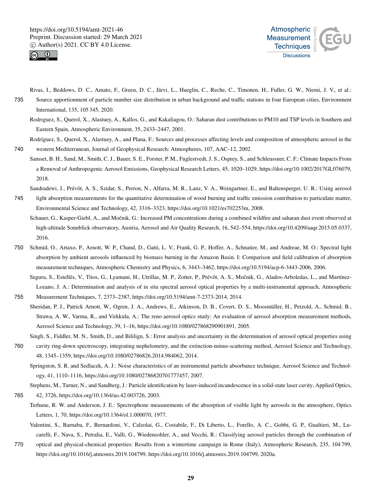



- Rivas, I., Beddows, D. C., Amato, F., Green, D. C., Järvi, L., Hueglin, C., Reche, C., Timonen, H., Fuller, G. W., Niemi, J. V., et al.: 735 Source apportionment of particle number size distribution in urban background and traffic stations in four European cities, Environment International, 135, 105 345, 2020.
	- Rodrıguez, S., Querol, X., Alastuey, A., Kallos, G., and Kakaliagou, O.: Saharan dust contributions to PM10 and TSP levels in Southern and Eastern Spain, Atmospheric Environment, 35, 2433–2447, 2001.
- Rodríguez, S., Querol, X., Alastuey, A., and Plana, F.: Sources and processes affecting levels and composition of atmospheric aerosol in the 740 western Mediterranean, Journal of Geophysical Research: Atmospheres, 107, AAC–12, 2002.
- Samset, B. H., Sand, M., Smith, C. J., Bauer, S. E., Forster, P. M., Fuglestvedt, J. S., Osprey, S., and Schleussner, C. F.: Climate Impacts From a Removal of Anthropogenic Aerosol Emissions, Geophysical Research Letters, 45, 1020–1029, https://doi.org/10.1002/2017GL076079, 2018.
- Sandradewi, J., Prévôt, A. S., Szidat, S., Perron, N., Alfarra, M. R., Lanz, V. A., Weingartner, E., and Baltensperger, U. R.: Using aerosol 745 light absorption measurements for the quantitative determination of wood burning and traffic emission contribution to particulate matter, Environmental Science and Technology, 42, 3316–3323, https://doi.org/10.1021/es702253m, 2008.
	- Schauer, G., Kasper-Giebl, A., and Močnik, G.: Increased PM concentrations during a combined wildfire and saharan dust event observed at high-altitude Sonnblick observatory, Austria, Aerosol and Air Quality Research, 16, 542–554, https://doi.org/10.4209/aaqr.2015.05.0337, 2016.
- 750 Schmid, O., Artaxo, P., Arnott, W. P., Chand, D., Gatti, L. V., Frank, G. P., Hoffer, A., Schnaiter, M., and Andreae, M. O.: Spectral light absorption by ambient aerosols influenced by biomass burning in the Amazon Basin. I: Comparison and field calibration of absorption measurement techniques, Atmospheric Chemistry and Physics, 6, 3443–3462, https://doi.org/10.5194/acp-6-3443-2006, 2006.
- Segura, S., Estellés, V., Titos, G., Lyamani, H., Utrillas, M. P., Zotter, P., Prévôt, A. S., Močnik, G., Alados-Arboledas, L., and Martínez-Lozano, J. A.: Determination and analysis of in situ spectral aerosol optical properties by a multi-instrumental approach, Atmospheric 755 Measurement Techniques, 7, 2373–2387, https://doi.org/10.5194/amt-7-2373-2014, 2014.
- Sheridan, P. J., Patrick Arnott, W., Ogren, J. A., Andrews, E., Atkinson, D. B., Covert, D. S., Moosmüller, H., Petzold, A., Schmid, B., Strawa, A. W., Varma, R., and Virkkula, A.: The reno aerosol optics study: An evaluation of aerosol absorption measurement methods, Aerosol Science and Technology, 39, 1–16, https://doi.org/10.1080/027868290901891, 2005.
- Singh, S., Fiddler, M. N., Smith, D., and Bililign, S.: Error analysis and uncertainty in the determination of aerosol optical properties using 760 cavity ring-down spectroscopy, integrating nephelometry, and the extinction-minus-scattering method, Aerosol Science and Technology, 48, 1345–1359, https://doi.org/10.1080/02786826.2014.984062, 2014.
	- Springston, S. R. and Sedlacek, A. J.: Noise characteristics of an instrumental particle absorbance technique, Aerosol Science and Technology, 41, 1110–1116, https://doi.org/10.1080/02786820701777457, 2007.
- Stephens, M., Turner, N., and Sandberg, J.: Particle identification by laser-induced incandescence in a solid-state laser cavity, Applied Optics, 765 42, 3726, https://doi.org/10.1364/ao.42.003726, 2003.
	- Terhune, R. W. and Anderson, J. E.: Spectrophone measurements of the absorption of visible light by aerosols in the atmosphere, Optics Letters, 1, 70, https://doi.org/10.1364/ol.1.000070, 1977.
		- Valentini, S., Barnaba, F., Bernardoni, V., Calzolai, G., Costabile, F., Di Liberto, L., Forello, A. C., Gobbi, G. P., Gualtieri, M., Lucarelli, F., Nava, S., Petralia, E., Valli, G., Wiedensohler, A., and Vecchi, R.: Classifying aerosol particles through the combination of
- 770 optical and physical-chemical properties: Results from a wintertime campaign in Rome (Italy), Atmospheric Research, 235, 104 799, https://doi.org/10.1016/j.atmosres.2019.104799, https://doi.org/10.1016/j.atmosres.2019.104799, 2020a.